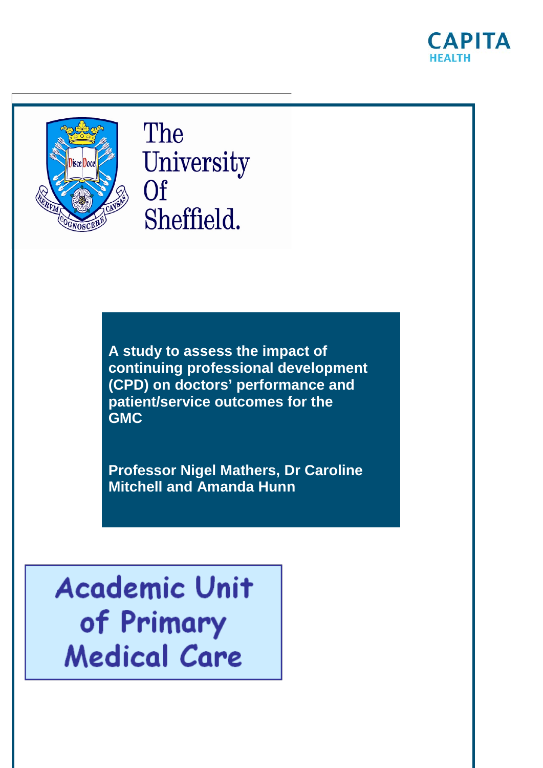



The University **Of** Sheffield.

**A study to assess the impact of continuing professional development (CPD) on doctors' performance and patient/service outcomes for the GMC**

**Professor Nigel Mathers, Dr Caroline Mitchell and Amanda Hunn**

**Academic Unit** of Primary **Medical Care**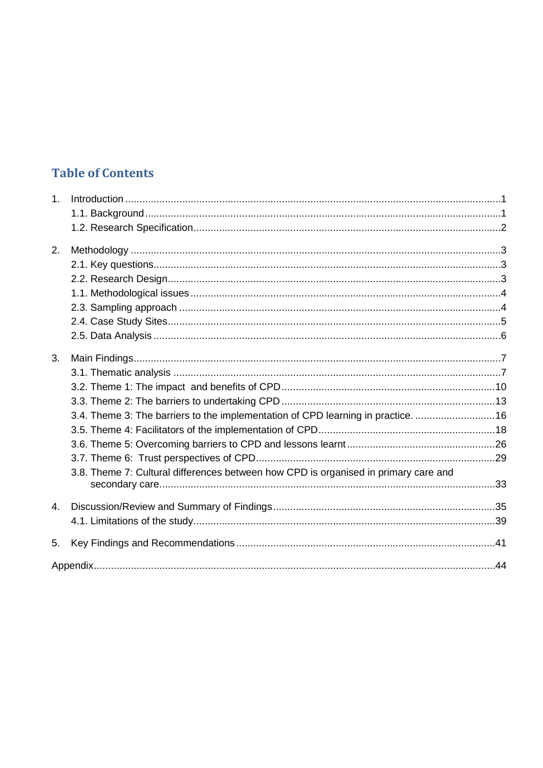### **Table of Contents**

| 1 <sub>1</sub> |                                                                                     |  |
|----------------|-------------------------------------------------------------------------------------|--|
|                |                                                                                     |  |
|                |                                                                                     |  |
| 2.             |                                                                                     |  |
|                |                                                                                     |  |
|                |                                                                                     |  |
|                |                                                                                     |  |
|                |                                                                                     |  |
|                |                                                                                     |  |
|                |                                                                                     |  |
| 3.             |                                                                                     |  |
|                |                                                                                     |  |
|                |                                                                                     |  |
|                |                                                                                     |  |
|                | 3.4. Theme 3: The barriers to the implementation of CPD learning in practice. 16    |  |
|                |                                                                                     |  |
|                |                                                                                     |  |
|                |                                                                                     |  |
|                | 3.8. Theme 7: Cultural differences between how CPD is organised in primary care and |  |
| $\overline{4}$ |                                                                                     |  |
|                |                                                                                     |  |
| 5.             |                                                                                     |  |
|                |                                                                                     |  |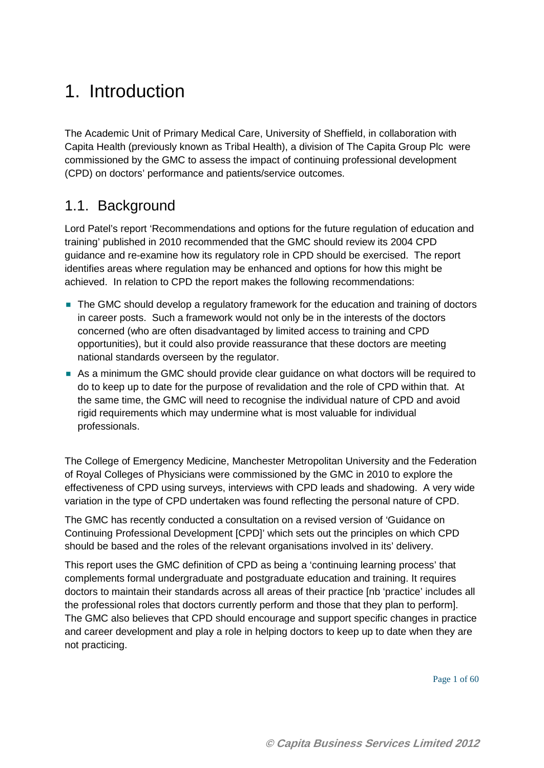# <span id="page-2-0"></span>1. Introduction

The Academic Unit of Primary Medical Care, University of Sheffield, in collaboration with Capita Health (previously known as Tribal Health), a division of The Capita Group Plc were commissioned by the GMC to assess the impact of continuing professional development (CPD) on doctors' performance and patients/service outcomes.

## <span id="page-2-1"></span>1.1. Background

Lord Patel's report 'Recommendations and options for the future regulation of education and training' published in 2010 recommended that the GMC should review its 2004 CPD guidance and re-examine how its regulatory role in CPD should be exercised. The report identifies areas where regulation may be enhanced and options for how this might be achieved. In relation to CPD the report makes the following recommendations:

- The GMC should develop a regulatory framework for the education and training of doctors in career posts. Such a framework would not only be in the interests of the doctors concerned (who are often disadvantaged by limited access to training and CPD opportunities), but it could also provide reassurance that these doctors are meeting national standards overseen by the regulator.
- As a minimum the GMC should provide clear guidance on what doctors will be required to do to keep up to date for the purpose of revalidation and the role of CPD within that. At the same time, the GMC will need to recognise the individual nature of CPD and avoid rigid requirements which may undermine what is most valuable for individual professionals.

The College of Emergency Medicine, Manchester Metropolitan University and the Federation of Royal Colleges of Physicians were commissioned by the GMC in 2010 to explore the effectiveness of CPD using surveys, interviews with CPD leads and shadowing. A very wide variation in the type of CPD undertaken was found reflecting the personal nature of CPD.

The GMC has recently conducted a consultation on a revised version of 'Guidance on Continuing Professional Development [CPD]' which sets out the principles on which CPD should be based and the roles of the relevant organisations involved in its' delivery.

This report uses the GMC definition of CPD as being a 'continuing learning process' that complements formal undergraduate and postgraduate education and training. It requires doctors to maintain their standards across all areas of their practice [nb 'practice' includes all the professional roles that doctors currently perform and those that they plan to perform]. The GMC also believes that CPD should encourage and support specific changes in practice and career development and play a role in helping doctors to keep up to date when they are not practicing.

Page 1 of 60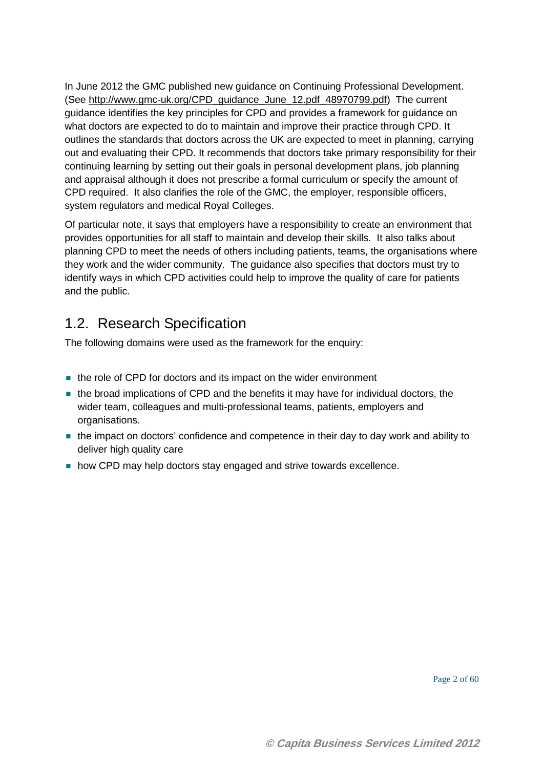In June 2012 the GMC published new guidance on Continuing Professional Development. (See [http://www.gmc-uk.org/CPD\\_guidance\\_June\\_12.pdf\\_48970799.pdf\)](http://www.gmc-uk.org/CPD_guidance_June_12.pdf_48970799.pdf) The current guidance identifies the key principles for CPD and provides a framework for guidance on what doctors are expected to do to maintain and improve their practice through CPD. It outlines the standards that doctors across the UK are expected to meet in planning, carrying out and evaluating their CPD. It recommends that doctors take primary responsibility for their continuing learning by setting out their goals in personal development plans, job planning and appraisal although it does not prescribe a formal curriculum or specify the amount of CPD required. It also clarifies the role of the GMC, the employer, responsible officers, system regulators and medical Royal Colleges.

Of particular note, it says that employers have a responsibility to create an environment that provides opportunities for all staff to maintain and develop their skills. It also talks about planning CPD to meet the needs of others including patients, teams, the organisations where they work and the wider community. The guidance also specifies that doctors must try to identify ways in which CPD activities could help to improve the quality of care for patients and the public.

### <span id="page-3-0"></span>1.2. Research Specification

The following domains were used as the framework for the enquiry:

- $\blacksquare$  the role of CPD for doctors and its impact on the wider environment
- $\blacksquare$  the broad implications of CPD and the benefits it may have for individual doctors, the wider team, colleagues and multi-professional teams, patients, employers and organisations.
- **the impact on doctors' confidence and competence in their day to day work and ability to** deliver high quality care
- **how CPD may help doctors stay engaged and strive towards excellence.**

Page 2 of 60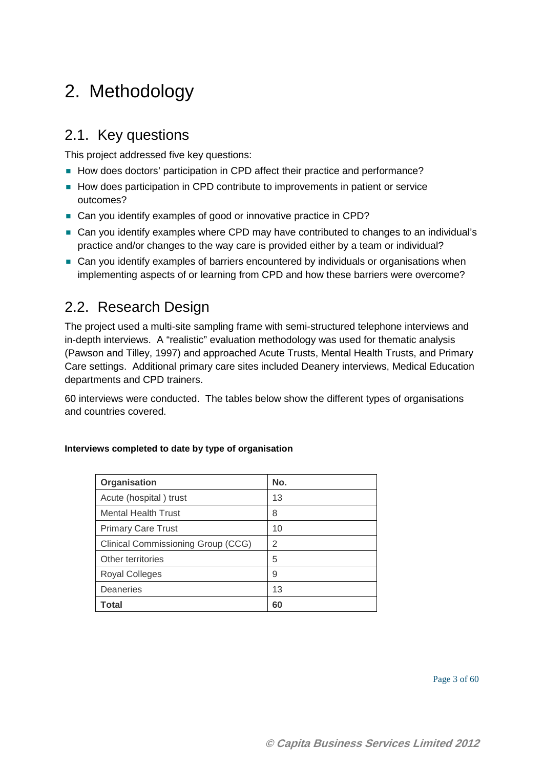# <span id="page-4-0"></span>2. Methodology

### <span id="page-4-1"></span>2.1. Key questions

This project addressed five key questions:

- How does doctors' participation in CPD affect their practice and performance?
- **How does participation in CPD contribute to improvements in patient or service** outcomes?
- Can you identify examples of good or innovative practice in CPD?
- Can you identify examples where CPD may have contributed to changes to an individual's practice and/or changes to the way care is provided either by a team or individual?
- Can you identify examples of barriers encountered by individuals or organisations when implementing aspects of or learning from CPD and how these barriers were overcome?

## <span id="page-4-2"></span>2.2. Research Design

The project used a multi-site sampling frame with semi-structured telephone interviews and in-depth interviews. A "realistic" evaluation methodology was used for thematic analysis (Pawson and Tilley, 1997) and approached Acute Trusts, Mental Health Trusts, and Primary Care settings. Additional primary care sites included Deanery interviews, Medical Education departments and CPD trainers.

60 interviews were conducted. The tables below show the different types of organisations and countries covered.

| Organisation                              | No. |
|-------------------------------------------|-----|
| Acute (hospital) trust                    | 13  |
| <b>Mental Health Trust</b>                | 8   |
| <b>Primary Care Trust</b>                 | 10  |
| <b>Clinical Commissioning Group (CCG)</b> | 2   |
| Other territories                         | 5   |
| <b>Royal Colleges</b>                     | 9   |
| Deaneries                                 | 13  |
| Total                                     | 60  |

### **Interviews completed to date by type of organisation**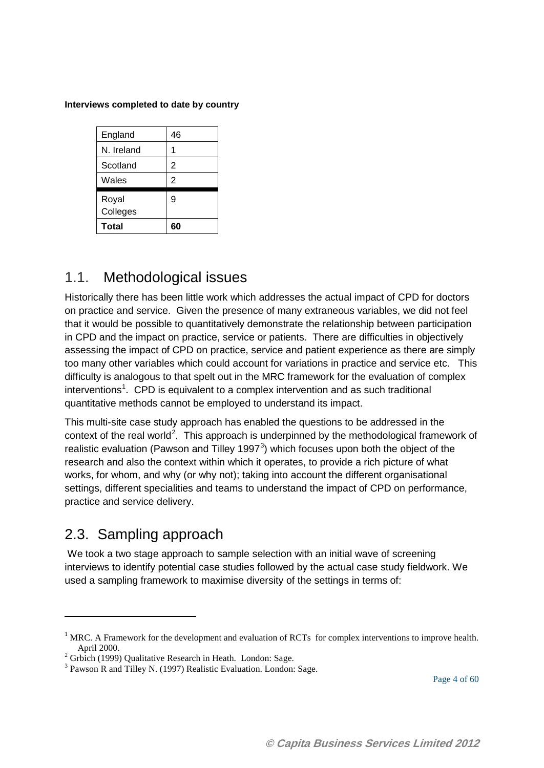#### **Interviews completed to date by country**

| 9  |
|----|
|    |
| 2  |
| 2  |
|    |
| 46 |
|    |

### <span id="page-5-0"></span>1.1. Methodological issues

Historically there has been little work which addresses the actual impact of CPD for doctors on practice and service. Given the presence of many extraneous variables, we did not feel that it would be possible to quantitatively demonstrate the relationship between participation in CPD and the impact on practice, service or patients. There are difficulties in objectively assessing the impact of CPD on practice, service and patient experience as there are simply too many other variables which could account for variations in practice and service etc. This difficulty is analogous to that spelt out in the MRC framework for the evaluation of complex interventions<sup>[1](#page-5-2)</sup>. CPD is equivalent to a complex intervention and as such traditional quantitative methods cannot be employed to understand its impact.

This multi-site case study approach has enabled the questions to be addressed in the context of the real world<sup>[2](#page-5-3)</sup>. This approach is underpinned by the methodological framework of realistic evaluation (Pawson and Tilley 1997 $3$ ) which focuses upon both the object of the research and also the context within which it operates, to provide a rich picture of what works, for whom, and why (or why not); taking into account the different organisational settings, different specialities and teams to understand the impact of CPD on performance, practice and service delivery.

## <span id="page-5-1"></span>2.3. Sampling approach

**.** 

We took a two stage approach to sample selection with an initial wave of screening interviews to identify potential case studies followed by the actual case study fieldwork. We used a sampling framework to maximise diversity of the settings in terms of:

Page 4 of 60

<span id="page-5-2"></span><sup>&</sup>lt;sup>1</sup> MRC. A Framework for the development and evaluation of RCTs for complex interventions to improve health. April 2000. <sup>2</sup> Grbich (1999) Qualitative Research in Heath. London: Sage.

<span id="page-5-3"></span>

<span id="page-5-4"></span><sup>3</sup> Pawson R and Tilley N. (1997) Realistic Evaluation. London: Sage.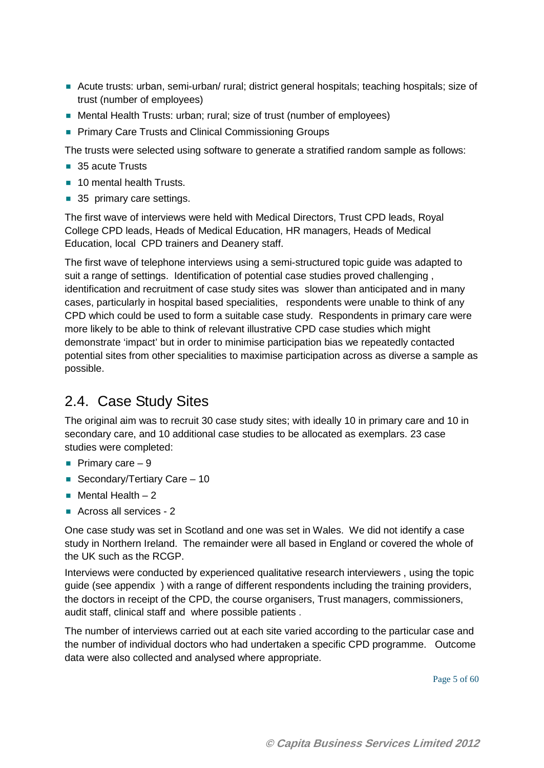- Acute trusts: urban, semi-urban/ rural; district general hospitals; teaching hospitals; size of trust (number of employees)
- Mental Health Trusts: urban: rural: size of trust (number of employees)
- **Primary Care Trusts and Clinical Commissioning Groups**

The trusts were selected using software to generate a stratified random sample as follows:

- 35 acute Trusts
- 10 mental health Trusts.
- 35 primary care settings.

The first wave of interviews were held with Medical Directors, Trust CPD leads, Royal College CPD leads, Heads of Medical Education, HR managers, Heads of Medical Education, local CPD trainers and Deanery staff.

The first wave of telephone interviews using a semi-structured topic guide was adapted to suit a range of settings. Identification of potential case studies proved challenging , identification and recruitment of case study sites was slower than anticipated and in many cases, particularly in hospital based specialities, respondents were unable to think of any CPD which could be used to form a suitable case study. Respondents in primary care were more likely to be able to think of relevant illustrative CPD case studies which might demonstrate 'impact' but in order to minimise participation bias we repeatedly contacted potential sites from other specialities to maximise participation across as diverse a sample as possible.

## <span id="page-6-0"></span>2.4. Case Study Sites

The original aim was to recruit 30 case study sites; with ideally 10 in primary care and 10 in secondary care, and 10 additional case studies to be allocated as exemplars. 23 case studies were completed:

- **Primary care 9**
- Secondary/Tertiary Care 10
- $\blacksquare$  Mental Health 2
- Across all services 2

One case study was set in Scotland and one was set in Wales. We did not identify a case study in Northern Ireland. The remainder were all based in England or covered the whole of the UK such as the RCGP.

Interviews were conducted by experienced qualitative research interviewers , using the topic guide (see appendix ) with a range of different respondents including the training providers, the doctors in receipt of the CPD, the course organisers, Trust managers, commissioners, audit staff, clinical staff and where possible patients .

The number of interviews carried out at each site varied according to the particular case and the number of individual doctors who had undertaken a specific CPD programme. Outcome data were also collected and analysed where appropriate.

Page 5 of 60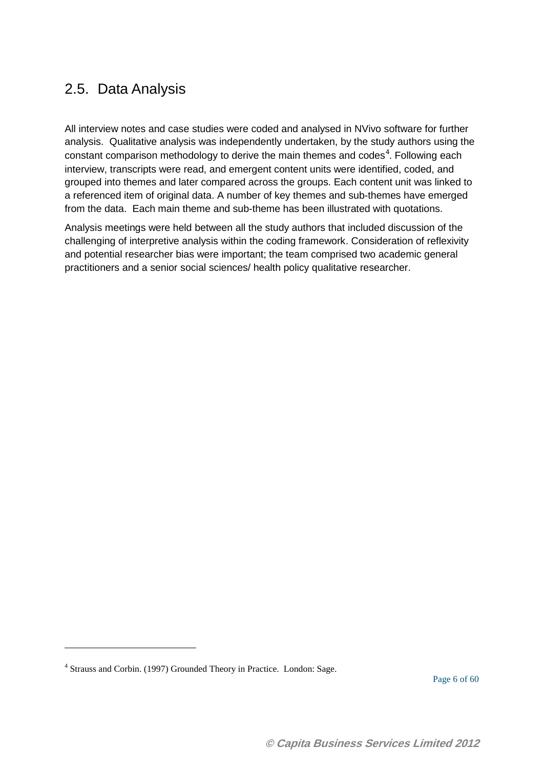## <span id="page-7-0"></span>2.5. Data Analysis

All interview notes and case studies were coded and analysed in NVivo software for further analysis. Qualitative analysis was independently undertaken, by the study authors using the constant comparison methodology to derive the main themes and codes<sup>[4](#page-7-1)</sup>. Following each interview, transcripts were read, and emergent content units were identified, coded, and grouped into themes and later compared across the groups. Each content unit was linked to a referenced item of original data. A number of key themes and sub-themes have emerged from the data. Each main theme and sub-theme has been illustrated with quotations.

Analysis meetings were held between all the study authors that included discussion of the challenging of interpretive analysis within the coding framework. Consideration of reflexivity and potential researcher bias were important; the team comprised two academic general practitioners and a senior social sciences/ health policy qualitative researcher.

**.** 

<span id="page-7-1"></span><sup>4</sup> Strauss and Corbin. (1997) Grounded Theory in Practice. London: Sage.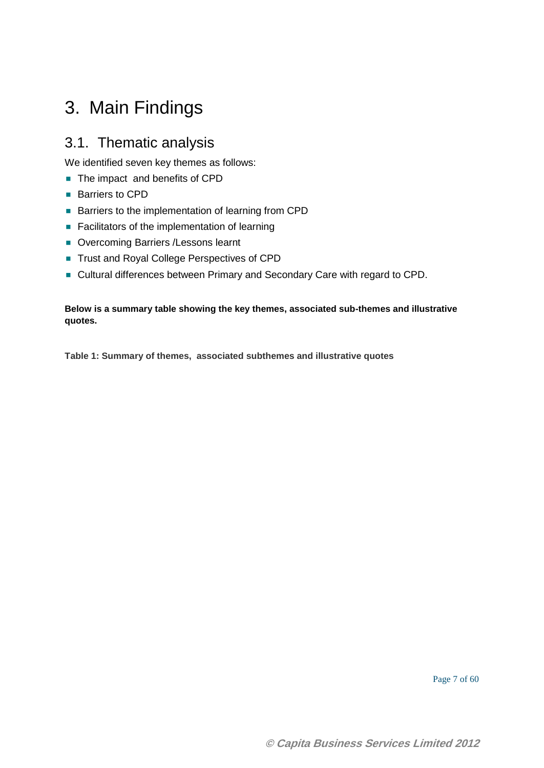# <span id="page-8-0"></span>3. Main Findings

### <span id="page-8-1"></span>3.1. Thematic analysis

We identified seven key themes as follows:

- The impact and benefits of CPD
- Barriers to CPD
- Barriers to the implementation of learning from CPD
- Facilitators of the implementation of learning
- **Divercoming Barriers / Lessons learnt**
- Trust and Royal College Perspectives of CPD
- Cultural differences between Primary and Secondary Care with regard to CPD.

### **Below is a summary table showing the key themes, associated sub-themes and illustrative quotes.**

**Table 1: Summary of themes, associated subthemes and illustrative quotes**

Page 7 of 60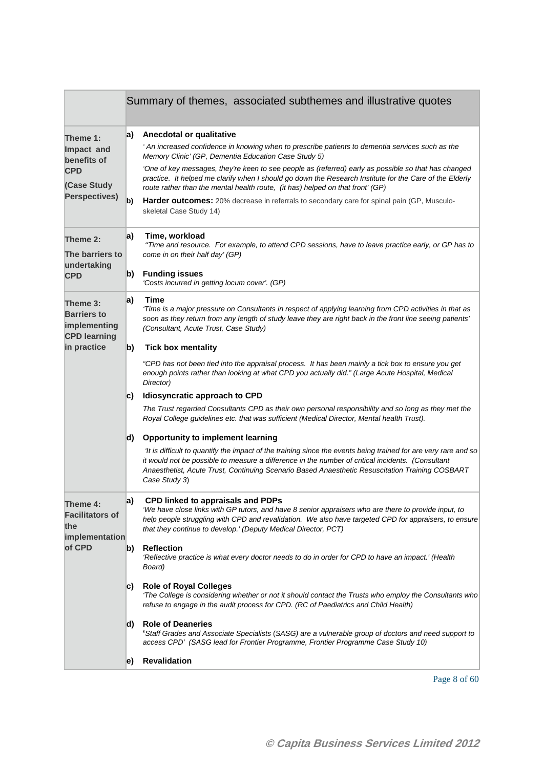|                                                                                            |             | Summary of themes, associated subthemes and illustrative quotes                                                                                                                                                                                                                                                                                                                                                                                                                                                                                                                                                           |
|--------------------------------------------------------------------------------------------|-------------|---------------------------------------------------------------------------------------------------------------------------------------------------------------------------------------------------------------------------------------------------------------------------------------------------------------------------------------------------------------------------------------------------------------------------------------------------------------------------------------------------------------------------------------------------------------------------------------------------------------------------|
| Theme 1:<br>Impact and<br>benefits of<br><b>CPD</b><br>(Case Study<br><b>Perspectives)</b> | a)<br>b)    | Anecdotal or qualitative<br>' An increased confidence in knowing when to prescribe patients to dementia services such as the<br>Memory Clinic' (GP, Dementia Education Case Study 5)<br>'One of key messages, they're keen to see people as (referred) early as possible so that has changed<br>practice. It helped me clarify when I should go down the Research Institute for the Care of the Elderly<br>route rather than the mental health route, (it has) helped on that front' (GP)<br><b>Harder outcomes:</b> 20% decrease in referrals to secondary care for spinal pain (GP, Musculo-<br>skeletal Case Study 14) |
| Theme 2:<br>The barriers to<br>undertaking<br><b>CPD</b>                                   | a)<br>b)    | Time, workload<br>"Time and resource. For example, to attend CPD sessions, have to leave practice early, or GP has to<br>come in on their half day' (GP)<br><b>Funding issues</b><br>'Costs incurred in getting locum cover'. (GP)                                                                                                                                                                                                                                                                                                                                                                                        |
| Theme 3:<br><b>Barriers to</b><br>implementing<br><b>CPD learning</b>                      | $ {\bf a})$ | Time<br>'Time is a major pressure on Consultants in respect of applying learning from CPD activities in that as<br>soon as they return from any length of study leave they are right back in the front line seeing patients'<br>(Consultant, Acute Trust, Case Study)                                                                                                                                                                                                                                                                                                                                                     |
| in practice                                                                                | b)          | <b>Tick box mentality</b><br>"CPD has not been tied into the appraisal process. It has been mainly a tick box to ensure you get<br>enough points rather than looking at what CPD you actually did." (Large Acute Hospital, Medical<br>Director)                                                                                                                                                                                                                                                                                                                                                                           |
|                                                                                            | C)          | Idiosyncratic approach to CPD<br>The Trust regarded Consultants CPD as their own personal responsibility and so long as they met the<br>Royal College guidelines etc. that was sufficient (Medical Director, Mental health Trust).                                                                                                                                                                                                                                                                                                                                                                                        |
|                                                                                            | d)          | <b>Opportunity to implement learning</b><br>It is difficult to quantify the impact of the training since the events being trained for are very rare and so<br>it would not be possible to measure a difference in the number of critical incidents. (Consultant<br>Anaesthetist, Acute Trust, Continuing Scenario Based Anaesthetic Resuscitation Training COSBART<br>Case Study 3)                                                                                                                                                                                                                                       |
| Theme 4:<br><b>Facilitators of</b><br>the<br>implementation                                | a)          | <b>CPD linked to appraisals and PDPs</b><br>We have close links with GP tutors, and have 8 senior appraisers who are there to provide input, to<br>help people struggling with CPD and revalidation. We also have targeted CPD for appraisers, to ensure<br>that they continue to develop.' (Deputy Medical Director, PCT)                                                                                                                                                                                                                                                                                                |
| of CPD                                                                                     | b)          | <b>Reflection</b><br>'Reflective practice is what every doctor needs to do in order for CPD to have an impact.' (Health<br>Board)                                                                                                                                                                                                                                                                                                                                                                                                                                                                                         |
|                                                                                            | C)          | <b>Role of Royal Colleges</b><br>The College is considering whether or not it should contact the Trusts who employ the Consultants who<br>refuse to engage in the audit process for CPD. (RC of Paediatrics and Child Health)                                                                                                                                                                                                                                                                                                                                                                                             |
|                                                                                            | d)          | <b>Role of Deaneries</b><br>'Staff Grades and Associate Specialists (SASG) are a vulnerable group of doctors and need support to<br>access CPD' (SASG lead for Frontier Programme, Frontier Programme Case Study 10)                                                                                                                                                                                                                                                                                                                                                                                                      |
|                                                                                            | le)         | <b>Revalidation</b>                                                                                                                                                                                                                                                                                                                                                                                                                                                                                                                                                                                                       |

Page 8 of 60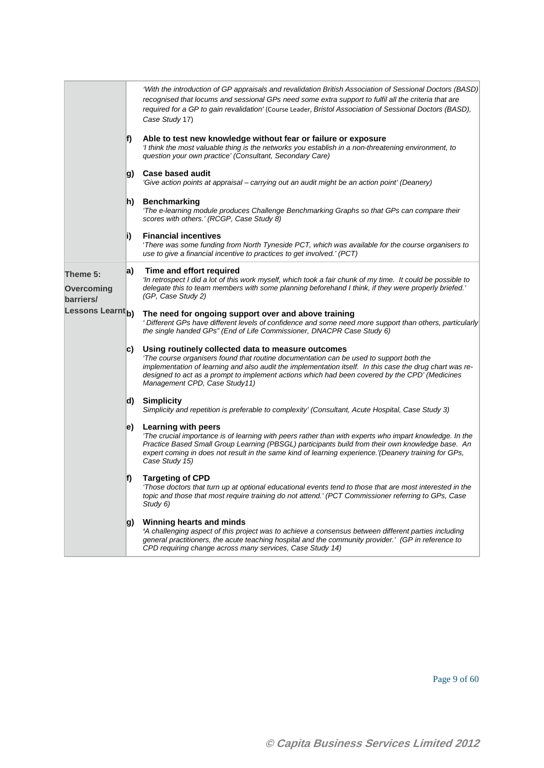|                                     |      | (With the introduction of GP appraisals and revalidation British Association of Sessional Doctors (BASD)<br>recognised that locums and sessional GPs need some extra support to fulfil all the criteria that are<br>required for a GP to gain revalidation' (Course Leader, Bristol Association of Sessional Doctors (BASD),<br>Case Study 17)                                              |
|-------------------------------------|------|---------------------------------------------------------------------------------------------------------------------------------------------------------------------------------------------------------------------------------------------------------------------------------------------------------------------------------------------------------------------------------------------|
|                                     | f)   | Able to test new knowledge without fear or failure or exposure<br>'I think the most valuable thing is the networks you establish in a non-threatening environment, to<br>question your own practice' (Consultant, Secondary Care)                                                                                                                                                           |
|                                     | g).  | Case based audit<br>'Give action points at appraisal – carrying out an audit might be an action point' (Deanery)                                                                                                                                                                                                                                                                            |
|                                     | h).  | <b>Benchmarking</b><br>'The e-learning module produces Challenge Benchmarking Graphs so that GPs can compare their<br>scores with others.' (RCGP, Case Study 8)                                                                                                                                                                                                                             |
|                                     | li)  | <b>Financial incentives</b><br>There was some funding from North Tyneside PCT, which was available for the course organisers to '<br>use to give a financial incentive to practices to get involved.' (PCT)                                                                                                                                                                                 |
| Theme 5:<br>Overcoming<br>barriers/ | a)   | Time and effort required<br>'In retrospect I did a lot of this work myself, which took a fair chunk of my time. It could be possible to<br>delegate this to team members with some planning beforehand I think, if they were properly briefed.'<br>(GP, Case Study 2)                                                                                                                       |
| Lessons Learnt <sub>b</sub> )       |      | The need for ongoing support over and above training<br>' Different GPs have different levels of confidence and some need more support than others, particularly<br>the single handed GPs" (End of Life Commissioner, DNACPR Case Study 6)                                                                                                                                                  |
|                                     | C).  | Using routinely collected data to measure outcomes<br>The course organisers found that routine documentation can be used to support both the<br>implementation of learning and also audit the implementation itself. In this case the drug chart was re-<br>designed to act as a prompt to implement actions which had been covered by the CPD' (Medicines<br>Management CPD, Case Study11) |
|                                     | d).  | <b>Simplicity</b><br>Simplicity and repetition is preferable to complexity' (Consultant, Acute Hospital, Case Study 3)                                                                                                                                                                                                                                                                      |
|                                     | le). | <b>Learning with peers</b><br>The crucial importance is of learning with peers rather than with experts who impart knowledge. In the<br>Practice Based Small Group Learning (PBSGL) participants build from their own knowledge base. An<br>expert coming in does not result in the same kind of learning experience.'(Deanery training for GPs,<br>Case Study 15)                          |
|                                     | f)   | <b>Targeting of CPD</b><br>'Those doctors that turn up at optional educational events tend to those that are most interested in the<br>topic and those that most require training do not attend.' (PCT Commissioner referring to GPs, Case<br>Study 6)                                                                                                                                      |
|                                     | g).  | Winning hearts and minds<br>'A challenging aspect of this project was to achieve a consensus between different parties including<br>general practitioners, the acute teaching hospital and the community provider.' (GP in reference to<br>CPD requiring change across many services, Case Study 14)                                                                                        |

Page 9 of 60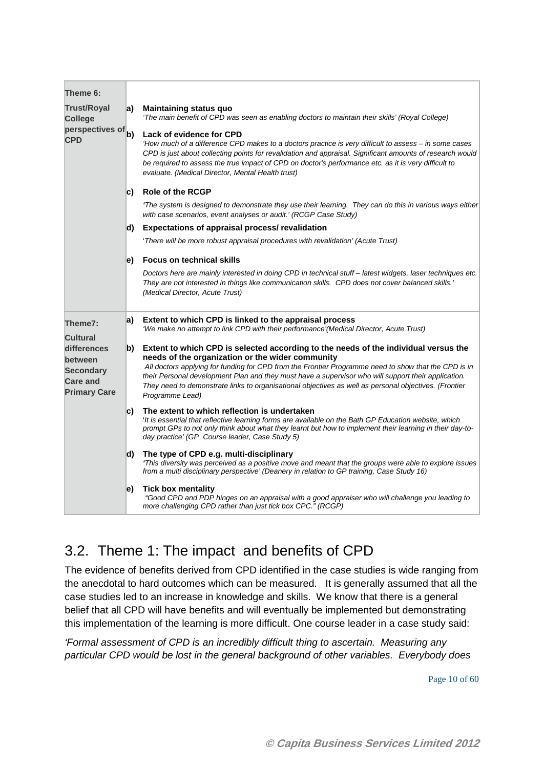| Theme 6:                                                                             |             |                                                                                                                                                                                                                                                                                                                                                                                                                                                                                    |
|--------------------------------------------------------------------------------------|-------------|------------------------------------------------------------------------------------------------------------------------------------------------------------------------------------------------------------------------------------------------------------------------------------------------------------------------------------------------------------------------------------------------------------------------------------------------------------------------------------|
| <b>Trust/Royal</b><br><b>College</b>                                                 | $ a\rangle$ | <b>Maintaining status quo</b><br>'The main benefit of CPD was seen as enabling doctors to maintain their skills' (Royal College)                                                                                                                                                                                                                                                                                                                                                   |
| perspectives of<br><b>CPD</b>                                                        | b)          | <b>Lack of evidence for CPD</b><br>'How much of a difference CPD makes to a doctors practice is very difficult to assess - in some cases<br>CPD is just about collecting points for revalidation and appraisal. Significant amounts of research would<br>be required to assess the true impact of CPD on doctor's performance etc. as it is very difficult to<br>evaluate. (Medical Director, Mental Health trust)                                                                 |
|                                                                                      | IC)         | <b>Role of the RCGP</b>                                                                                                                                                                                                                                                                                                                                                                                                                                                            |
|                                                                                      |             | 'The system is designed to demonstrate they use their learning. They can do this in various ways either<br>with case scenarios, event analyses or audit.' (RCGP Case Study)                                                                                                                                                                                                                                                                                                        |
|                                                                                      | d)          | Expectations of appraisal process/ revalidation                                                                                                                                                                                                                                                                                                                                                                                                                                    |
|                                                                                      |             | 'There will be more robust appraisal procedures with revalidation' (Acute Trust)                                                                                                                                                                                                                                                                                                                                                                                                   |
|                                                                                      | le)         | <b>Focus on technical skills</b>                                                                                                                                                                                                                                                                                                                                                                                                                                                   |
|                                                                                      |             | Doctors here are mainly interested in doing CPD in technical stuff - latest widgets, laser techniques etc.<br>They are not interested in things like communication skills. CPD does not cover balanced skills.'<br>(Medical Director, Acute Trust)                                                                                                                                                                                                                                 |
| Theme7:<br><b>Cultural</b>                                                           | a)          | Extent to which CPD is linked to the appraisal process<br>'We make no attempt to link CPD with their performance'(Medical Director, Acute Trust)                                                                                                                                                                                                                                                                                                                                   |
| differences<br>between<br><b>Secondary</b><br><b>Care and</b><br><b>Primary Care</b> | b)          | Extent to which CPD is selected according to the needs of the individual versus the<br>needs of the organization or the wider community<br>All doctors applying for funding for CPD from the Frontier Programme need to show that the CPD is in<br>their Personal development Plan and they must have a supervisor who will support their application.<br>They need to demonstrate links to organisational objectives as well as personal objectives. (Frontier<br>Programme Lead) |
|                                                                                      | IC)         | The extent to which reflection is undertaken<br>It is essential that reflective learning forms are available on the Bath GP Education website, which<br>prompt GPs to not only think about what they learnt but how to implement their learning in their day-to-<br>day practice' (GP Course leader, Case Study 5)                                                                                                                                                                 |
|                                                                                      | d)          | The type of CPD e.g. multi-disciplinary<br>'This diversity was perceived as a positive move and meant that the groups were able to explore issues<br>from a multi disciplinary perspective' (Deanery in relation to GP training, Case Study 16)                                                                                                                                                                                                                                    |
|                                                                                      | le)         | <b>Tick box mentality</b><br>"Good CPD and PDP hinges on an appraisal with a good appraiser who will challenge you leading to<br>more challenging CPD rather than just tick box CPC." (RCGP)                                                                                                                                                                                                                                                                                       |

## <span id="page-11-0"></span>3.2. Theme 1: The impact and benefits of CPD

The evidence of benefits derived from CPD identified in the case studies is wide ranging from the anecdotal to hard outcomes which can be measured. It is generally assumed that all the case studies led to an increase in knowledge and skills. We know that there is a general belief that all CPD will have benefits and will eventually be implemented but demonstrating this implementation of the learning is more difficult. One course leader in a case study said:

*'Formal assessment of CPD is an incredibly difficult thing to ascertain. Measuring any particular CPD would be lost in the general background of other variables. Everybody does*

Page 10 of 60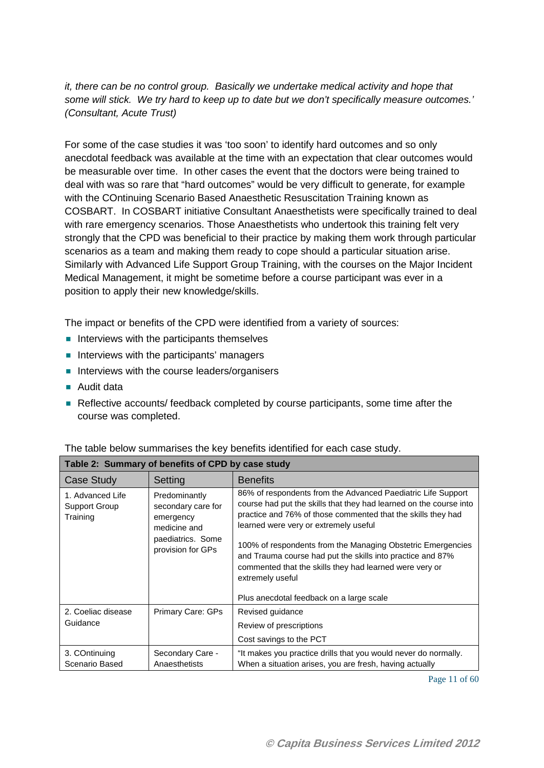*it, there can be no control group. Basically we undertake medical activity and hope that some will stick. We try hard to keep up to date but we don't specifically measure outcomes.' (Consultant, Acute Trust)*

For some of the case studies it was 'too soon' to identify hard outcomes and so only anecdotal feedback was available at the time with an expectation that clear outcomes would be measurable over time. In other cases the event that the doctors were being trained to deal with was so rare that "hard outcomes" would be very difficult to generate, for example with the COntinuing Scenario Based Anaesthetic Resuscitation Training known as COSBART. In COSBART initiative Consultant Anaesthetists were specifically trained to deal with rare emergency scenarios. Those Anaesthetists who undertook this training felt very strongly that the CPD was beneficial to their practice by making them work through particular scenarios as a team and making them ready to cope should a particular situation arise. Similarly with Advanced Life Support Group Training, with the courses on the Major Incident Medical Management, it might be sometime before a course participant was ever in a position to apply their new knowledge/skills.

The impact or benefits of the CPD were identified from a variety of sources:

- $\blacksquare$  Interviews with the participants themselves
- $\blacksquare$  Interviews with the participants' managers
- $\blacksquare$  Interviews with the course leaders/organisers
- Audit data
- Reflective accounts/ feedback completed by course participants, some time after the course was completed.

| Table 2: Summary of benefits of CPD by case study    |                                                                                                            |                                                                                                                                                                                                                                                                                                                                                                                                                                                                                                     |  |
|------------------------------------------------------|------------------------------------------------------------------------------------------------------------|-----------------------------------------------------------------------------------------------------------------------------------------------------------------------------------------------------------------------------------------------------------------------------------------------------------------------------------------------------------------------------------------------------------------------------------------------------------------------------------------------------|--|
| <b>Case Study</b>                                    | Setting                                                                                                    | <b>Benefits</b>                                                                                                                                                                                                                                                                                                                                                                                                                                                                                     |  |
| 1. Advanced Life<br><b>Support Group</b><br>Training | Predominantly<br>secondary care for<br>emergency<br>medicine and<br>paediatrics. Some<br>provision for GPs | 86% of respondents from the Advanced Paediatric Life Support<br>course had put the skills that they had learned on the course into<br>practice and 76% of those commented that the skills they had<br>learned were very or extremely useful<br>100% of respondents from the Managing Obstetric Emergencies<br>and Trauma course had put the skills into practice and 87%<br>commented that the skills they had learned were very or<br>extremely useful<br>Plus anecdotal feedback on a large scale |  |
| 2. Coeliac disease                                   | Primary Care: GPs                                                                                          | Revised guidance                                                                                                                                                                                                                                                                                                                                                                                                                                                                                    |  |
| Guidance                                             |                                                                                                            | Review of prescriptions                                                                                                                                                                                                                                                                                                                                                                                                                                                                             |  |
|                                                      |                                                                                                            | Cost savings to the PCT                                                                                                                                                                                                                                                                                                                                                                                                                                                                             |  |
| 3. COntinuing<br>Scenario Based                      | Secondary Care -<br>Anaesthetists                                                                          | "It makes you practice drills that you would never do normally.<br>When a situation arises, you are fresh, having actually                                                                                                                                                                                                                                                                                                                                                                          |  |

The table below summarises the key benefits identified for each case study.

Page 11 of 60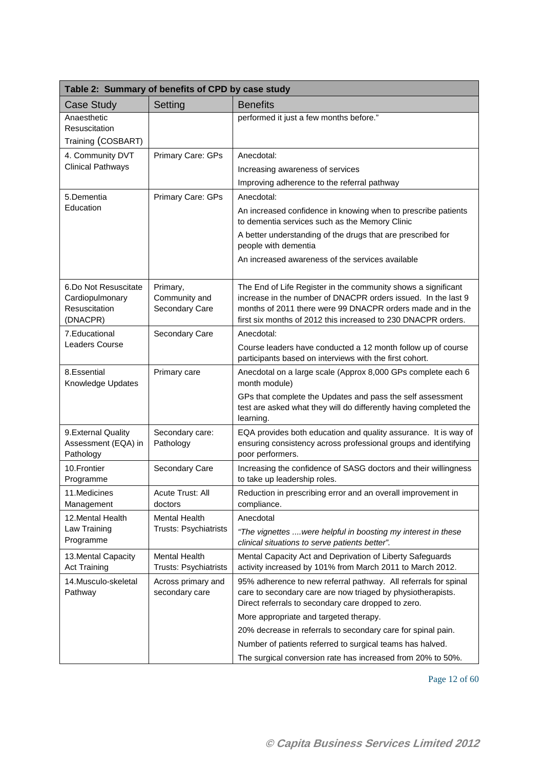| Table 2: Summary of benefits of CPD by case study |                                               |                                                                                                                        |  |
|---------------------------------------------------|-----------------------------------------------|------------------------------------------------------------------------------------------------------------------------|--|
| <b>Case Study</b>                                 | Setting                                       | <b>Benefits</b>                                                                                                        |  |
| Anaesthetic                                       |                                               | performed it just a few months before."                                                                                |  |
| Resuscitation<br>Training (COSBART)               |                                               |                                                                                                                        |  |
|                                                   |                                               |                                                                                                                        |  |
| 4. Community DVT<br><b>Clinical Pathways</b>      | Primary Care: GPs                             | Anecdotal:                                                                                                             |  |
|                                                   |                                               | Increasing awareness of services                                                                                       |  |
|                                                   |                                               | Improving adherence to the referral pathway                                                                            |  |
| 5.Dementia<br>Education                           | Primary Care: GPs                             | Anecdotal:                                                                                                             |  |
|                                                   |                                               | An increased confidence in knowing when to prescribe patients<br>to dementia services such as the Memory Clinic        |  |
|                                                   |                                               | A better understanding of the drugs that are prescribed for<br>people with dementia                                    |  |
|                                                   |                                               | An increased awareness of the services available                                                                       |  |
| 6.Do Not Resuscitate                              | Primary,                                      | The End of Life Register in the community shows a significant                                                          |  |
| Cardiopulmonary                                   | Community and                                 | increase in the number of DNACPR orders issued. In the last 9                                                          |  |
| Resuscitation                                     | Secondary Care                                | months of 2011 there were 99 DNACPR orders made and in the                                                             |  |
| (DNACPR)                                          |                                               | first six months of 2012 this increased to 230 DNACPR orders.                                                          |  |
| 7. Educational                                    | <b>Secondary Care</b>                         | Anecdotal:                                                                                                             |  |
| <b>Leaders Course</b>                             |                                               | Course leaders have conducted a 12 month follow up of course                                                           |  |
|                                                   |                                               | participants based on interviews with the first cohort.                                                                |  |
| 8.Essential<br>Knowledge Updates                  | Primary care                                  | Anecdotal on a large scale (Approx 8,000 GPs complete each 6<br>month module)                                          |  |
|                                                   |                                               | GPs that complete the Updates and pass the self assessment                                                             |  |
|                                                   |                                               | test are asked what they will do differently having completed the<br>learning.                                         |  |
| 9. External Quality                               | Secondary care:                               | EQA provides both education and quality assurance. It is way of                                                        |  |
| Assessment (EQA) in<br>Pathology                  | Pathology                                     | ensuring consistency across professional groups and identifying<br>poor performers.                                    |  |
| 10. Frontier                                      | Secondary Care                                | Increasing the confidence of SASG doctors and their willingness                                                        |  |
| Programme                                         |                                               | to take up leadership roles.                                                                                           |  |
| 11.Medicines                                      | Acute Trust: All                              | Reduction in prescribing error and an overall improvement in                                                           |  |
| Management                                        | doctors                                       | compliance.                                                                                                            |  |
| 12. Mental Health                                 | Mental Health                                 | Anecdotal                                                                                                              |  |
| Law Training                                      | Trusts: Psychiatrists                         | "The vignettes were helpful in boosting my interest in these                                                           |  |
| Programme                                         |                                               | clinical situations to serve patients better".                                                                         |  |
| 13. Mental Capacity<br><b>Act Training</b>        | <b>Mental Health</b><br>Trusts: Psychiatrists | Mental Capacity Act and Deprivation of Liberty Safeguards<br>activity increased by 101% from March 2011 to March 2012. |  |
| 14.Musculo-skeletal                               | Across primary and                            | 95% adherence to new referral pathway. All referrals for spinal                                                        |  |
| Pathway                                           | secondary care                                | care to secondary care are now triaged by physiotherapists.                                                            |  |
|                                                   |                                               | Direct referrals to secondary care dropped to zero.                                                                    |  |
|                                                   |                                               | More appropriate and targeted therapy.                                                                                 |  |
|                                                   |                                               | 20% decrease in referrals to secondary care for spinal pain.                                                           |  |
|                                                   |                                               | Number of patients referred to surgical teams has halved.                                                              |  |
|                                                   |                                               | The surgical conversion rate has increased from 20% to 50%.                                                            |  |

Page 12 of 60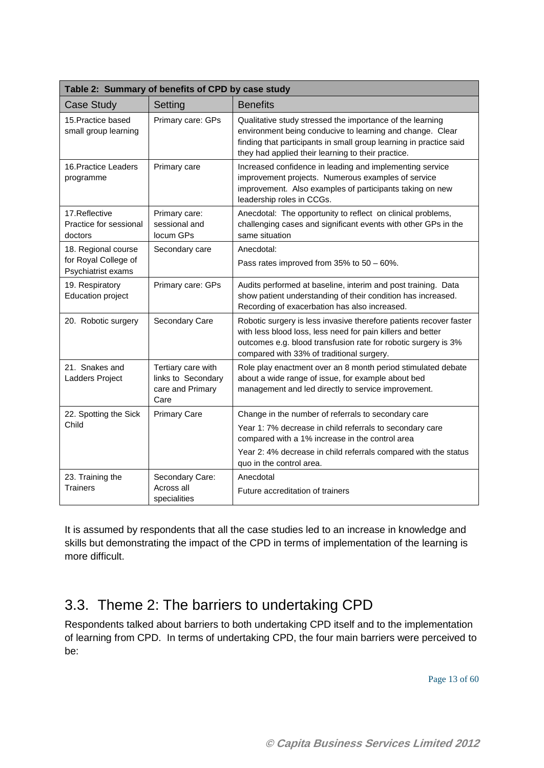| Table 2: Summary of benefits of CPD by case study   |                                                                      |                                                                                                                                                                                                                                                    |  |
|-----------------------------------------------------|----------------------------------------------------------------------|----------------------------------------------------------------------------------------------------------------------------------------------------------------------------------------------------------------------------------------------------|--|
| <b>Case Study</b>                                   | Setting                                                              | <b>Benefits</b>                                                                                                                                                                                                                                    |  |
| 15. Practice based<br>small group learning          | Primary care: GPs                                                    | Qualitative study stressed the importance of the learning<br>environment being conducive to learning and change. Clear<br>finding that participants in small group learning in practice said<br>they had applied their learning to their practice. |  |
| 16. Practice Leaders<br>programme                   | Primary care                                                         | Increased confidence in leading and implementing service<br>improvement projects. Numerous examples of service<br>improvement. Also examples of participants taking on new<br>leadership roles in CCGs.                                            |  |
| 17. Reflective<br>Practice for sessional<br>doctors | Primary care:<br>sessional and<br>locum GPs                          | Anecdotal: The opportunity to reflect on clinical problems,<br>challenging cases and significant events with other GPs in the<br>same situation                                                                                                    |  |
| 18. Regional course<br>for Royal College of         | Secondary care                                                       | Anecdotal:                                                                                                                                                                                                                                         |  |
| Psychiatrist exams                                  |                                                                      | Pass rates improved from 35% to 50 - 60%.                                                                                                                                                                                                          |  |
| 19. Respiratory<br><b>Education project</b>         | Primary care: GPs                                                    | Audits performed at baseline, interim and post training. Data<br>show patient understanding of their condition has increased.<br>Recording of exacerbation has also increased.                                                                     |  |
| 20. Robotic surgery                                 | Secondary Care                                                       | Robotic surgery is less invasive therefore patients recover faster<br>with less blood loss, less need for pain killers and better<br>outcomes e.g. blood transfusion rate for robotic surgery is 3%<br>compared with 33% of traditional surgery.   |  |
| 21. Snakes and<br>Ladders Project                   | Tertiary care with<br>links to Secondary<br>care and Primary<br>Care | Role play enactment over an 8 month period stimulated debate<br>about a wide range of issue, for example about bed<br>management and led directly to service improvement.                                                                          |  |
| 22. Spotting the Sick                               | <b>Primary Care</b>                                                  | Change in the number of referrals to secondary care                                                                                                                                                                                                |  |
| Child                                               |                                                                      | Year 1: 7% decrease in child referrals to secondary care<br>compared with a 1% increase in the control area                                                                                                                                        |  |
|                                                     |                                                                      | Year 2: 4% decrease in child referrals compared with the status<br>quo in the control area.                                                                                                                                                        |  |
| 23. Training the                                    | Secondary Care:                                                      | Anecdotal                                                                                                                                                                                                                                          |  |
| <b>Trainers</b>                                     | Across all<br>specialities                                           | Future accreditation of trainers                                                                                                                                                                                                                   |  |

It is assumed by respondents that all the case studies led to an increase in knowledge and skills but demonstrating the impact of the CPD in terms of implementation of the learning is more difficult.

## <span id="page-14-0"></span>3.3. Theme 2: The barriers to undertaking CPD

Respondents talked about barriers to both undertaking CPD itself and to the implementation of learning from CPD. In terms of undertaking CPD, the four main barriers were perceived to be:

Page 13 of 60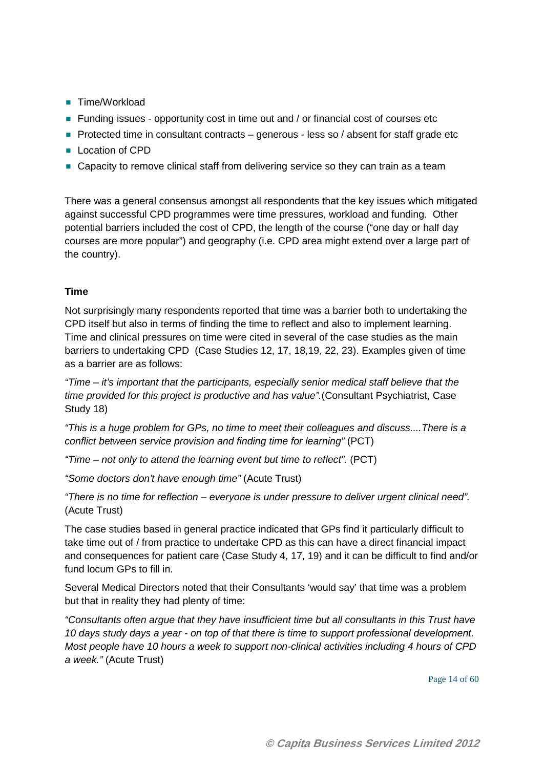- Time/Workload
- Funding issues opportunity cost in time out and / or financial cost of courses etc
- Protected time in consultant contracts generous less so  $/$  absent for staff grade etc
- **Location of CPD**
- Capacity to remove clinical staff from delivering service so they can train as a team

There was a general consensus amongst all respondents that the key issues which mitigated against successful CPD programmes were time pressures, workload and funding. Other potential barriers included the cost of CPD, the length of the course ("one day or half day courses are more popular") and geography (i.e. CPD area might extend over a large part of the country).

### **Time**

Not surprisingly many respondents reported that time was a barrier both to undertaking the CPD itself but also in terms of finding the time to reflect and also to implement learning. Time and clinical pressures on time were cited in several of the case studies as the main barriers to undertaking CPD (Case Studies 12, 17, 18,19, 22, 23). Examples given of time as a barrier are as follows:

*"Time – it's important that the participants, especially senior medical staff believe that the time provided for this project is productive and has value".*(Consultant Psychiatrist, Case Study 18)

*"This is a huge problem for GPs, no time to meet their colleagues and discuss....There is a conflict between service provision and finding time for learning"* (PCT)

*"Time – not only to attend the learning event but time to reflect".* (PCT)

*"Some doctors don't have enough time"* (Acute Trust)

*"There is no time for reflection – everyone is under pressure to deliver urgent clinical need".* (Acute Trust)

The case studies based in general practice indicated that GPs find it particularly difficult to take time out of / from practice to undertake CPD as this can have a direct financial impact and consequences for patient care (Case Study 4, 17, 19) and it can be difficult to find and/or fund locum GPs to fill in.

Several Medical Directors noted that their Consultants 'would say' that time was a problem but that in reality they had plenty of time:

*"Consultants often argue that they have insufficient time but all consultants in this Trust have 10 days study days a year - on top of that there is time to support professional development. Most people have 10 hours a week to support non-clinical activities including 4 hours of CPD a week."* (Acute Trust)

Page 14 of 60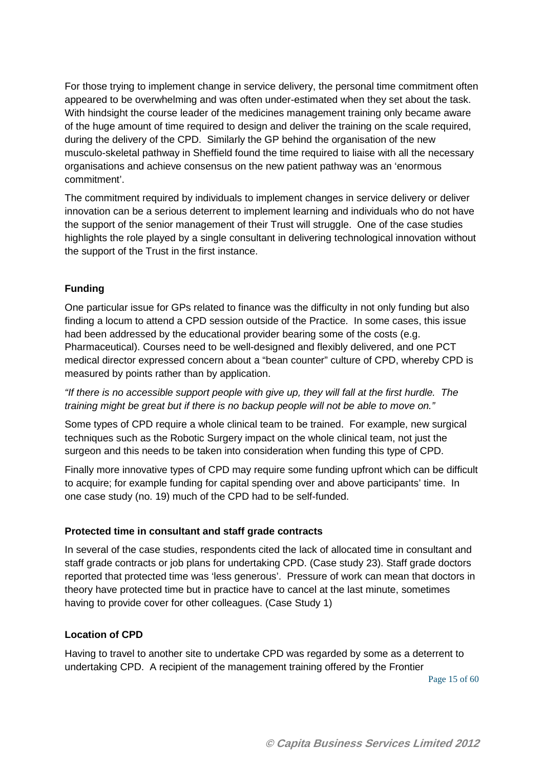For those trying to implement change in service delivery, the personal time commitment often appeared to be overwhelming and was often under-estimated when they set about the task. With hindsight the course leader of the medicines management training only became aware of the huge amount of time required to design and deliver the training on the scale required, during the delivery of the CPD. Similarly the GP behind the organisation of the new musculo-skeletal pathway in Sheffield found the time required to liaise with all the necessary organisations and achieve consensus on the new patient pathway was an 'enormous commitment'.

The commitment required by individuals to implement changes in service delivery or deliver innovation can be a serious deterrent to implement learning and individuals who do not have the support of the senior management of their Trust will struggle. One of the case studies highlights the role played by a single consultant in delivering technological innovation without the support of the Trust in the first instance.

### **Funding**

One particular issue for GPs related to finance was the difficulty in not only funding but also finding a locum to attend a CPD session outside of the Practice. In some cases, this issue had been addressed by the educational provider bearing some of the costs (e.g. Pharmaceutical). Courses need to be well-designed and flexibly delivered, and one PCT medical director expressed concern about a "bean counter" culture of CPD, whereby CPD is measured by points rather than by application.

*"If there is no accessible support people with give up, they will fall at the first hurdle. The training might be great but if there is no backup people will not be able to move on."*

Some types of CPD require a whole clinical team to be trained. For example, new surgical techniques such as the Robotic Surgery impact on the whole clinical team, not just the surgeon and this needs to be taken into consideration when funding this type of CPD.

Finally more innovative types of CPD may require some funding upfront which can be difficult to acquire; for example funding for capital spending over and above participants' time. In one case study (no. 19) much of the CPD had to be self-funded.

### **Protected time in consultant and staff grade contracts**

In several of the case studies, respondents cited the lack of allocated time in consultant and staff grade contracts or job plans for undertaking CPD. (Case study 23). Staff grade doctors reported that protected time was 'less generous'. Pressure of work can mean that doctors in theory have protected time but in practice have to cancel at the last minute, sometimes having to provide cover for other colleagues. (Case Study 1)

### **Location of CPD**

Having to travel to another site to undertake CPD was regarded by some as a deterrent to undertaking CPD. A recipient of the management training offered by the Frontier

Page 15 of 60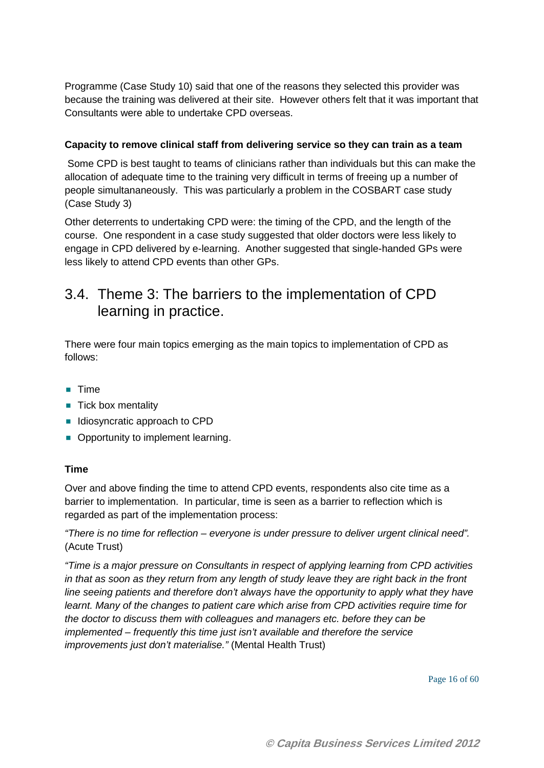Programme (Case Study 10) said that one of the reasons they selected this provider was because the training was delivered at their site. However others felt that it was important that Consultants were able to undertake CPD overseas.

### **Capacity to remove clinical staff from delivering service so they can train as a team**

Some CPD is best taught to teams of clinicians rather than individuals but this can make the allocation of adequate time to the training very difficult in terms of freeing up a number of people simultananeously. This was particularly a problem in the COSBART case study (Case Study 3)

Other deterrents to undertaking CPD were: the timing of the CPD, and the length of the course. One respondent in a case study suggested that older doctors were less likely to engage in CPD delivered by e-learning. Another suggested that single-handed GPs were less likely to attend CPD events than other GPs.

### <span id="page-17-0"></span>3.4. Theme 3: The barriers to the implementation of CPD learning in practice.

There were four main topics emerging as the main topics to implementation of CPD as follows:

- $\blacksquare$  Time
- $\blacksquare$  Tick box mentality
- Idiosyncratic approach to CPD
- Opportunity to implement learning.

### **Time**

Over and above finding the time to attend CPD events, respondents also cite time as a barrier to implementation. In particular, time is seen as a barrier to reflection which is regarded as part of the implementation process:

*"There is no time for reflection – everyone is under pressure to deliver urgent clinical need".* (Acute Trust)

*"Time is a major pressure on Consultants in respect of applying learning from CPD activities*  in that as soon as they return from any length of study leave they are right back in the front line seeing patients and therefore don't always have the opportunity to apply what they have *learnt. Many of the changes to patient care which arise from CPD activities require time for the doctor to discuss them with colleagues and managers etc. before they can be implemented – frequently this time just isn't available and therefore the service improvements just don't materialise."* (Mental Health Trust)

Page 16 of 60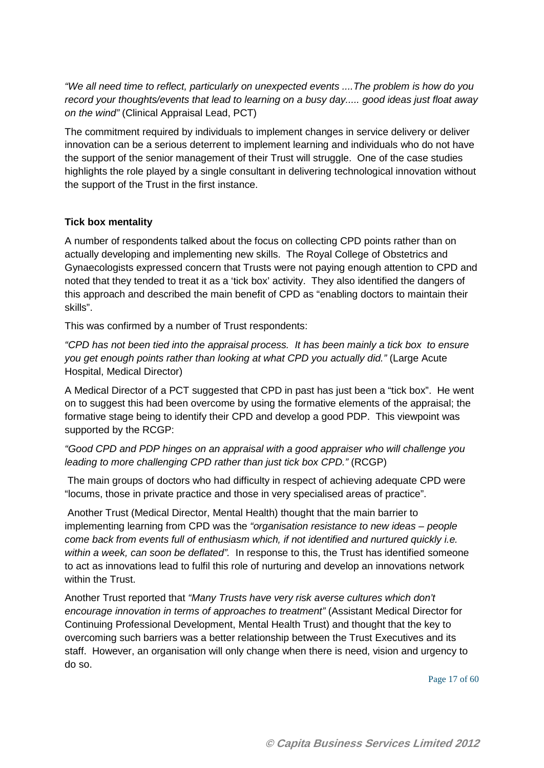*"We all need time to reflect, particularly on unexpected events ....The problem is how do you record your thoughts/events that lead to learning on a busy day..... good ideas just float away on the wind"* (Clinical Appraisal Lead, PCT)

The commitment required by individuals to implement changes in service delivery or deliver innovation can be a serious deterrent to implement learning and individuals who do not have the support of the senior management of their Trust will struggle. One of the case studies highlights the role played by a single consultant in delivering technological innovation without the support of the Trust in the first instance.

### **Tick box mentality**

A number of respondents talked about the focus on collecting CPD points rather than on actually developing and implementing new skills. The Royal College of Obstetrics and Gynaecologists expressed concern that Trusts were not paying enough attention to CPD and noted that they tended to treat it as a 'tick box' activity. They also identified the dangers of this approach and described the main benefit of CPD as "enabling doctors to maintain their skills".

This was confirmed by a number of Trust respondents:

*"CPD has not been tied into the appraisal process. It has been mainly a tick box to ensure you get enough points rather than looking at what CPD you actually did."* (Large Acute Hospital, Medical Director)

A Medical Director of a PCT suggested that CPD in past has just been a "tick box". He went on to suggest this had been overcome by using the formative elements of the appraisal; the formative stage being to identify their CPD and develop a good PDP. This viewpoint was supported by the RCGP:

*"Good CPD and PDP hinges on an appraisal with a good appraiser who will challenge you leading to more challenging CPD rather than just tick box CPD."* (RCGP)

The main groups of doctors who had difficulty in respect of achieving adequate CPD were "locums, those in private practice and those in very specialised areas of practice".

Another Trust (Medical Director, Mental Health) thought that the main barrier to implementing learning from CPD was the *"organisation resistance to new ideas – people come back from events full of enthusiasm which, if not identified and nurtured quickly i.e. within a week, can soon be deflated".* In response to this, the Trust has identified someone to act as innovations lead to fulfil this role of nurturing and develop an innovations network within the Trust.

Another Trust reported that *"Many Trusts have very risk averse cultures which don't encourage innovation in terms of approaches to treatment"* (Assistant Medical Director for Continuing Professional Development, Mental Health Trust) and thought that the key to overcoming such barriers was a better relationship between the Trust Executives and its staff. However, an organisation will only change when there is need, vision and urgency to do so.

Page 17 of 60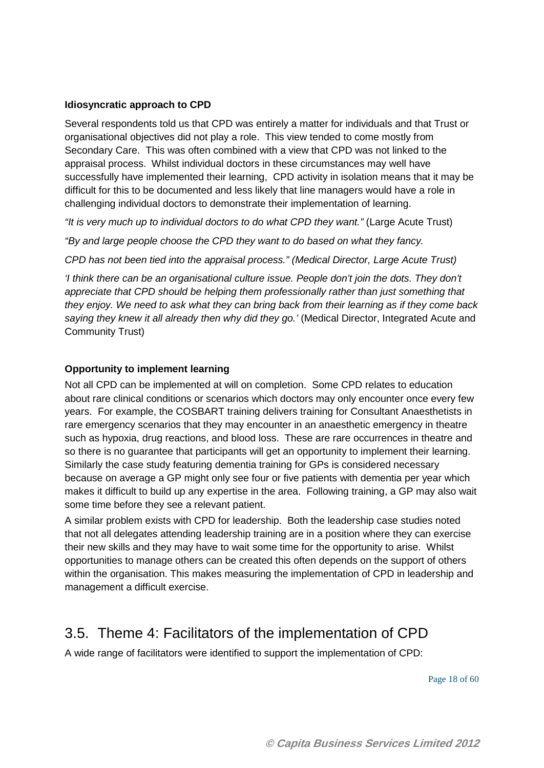### **Idiosyncratic approach to CPD**

Several respondents told us that CPD was entirely a matter for individuals and that Trust or organisational objectives did not play a role. This view tended to come mostly from Secondary Care. This was often combined with a view that CPD was not linked to the appraisal process. Whilst individual doctors in these circumstances may well have successfully have implemented their learning, CPD activity in isolation means that it may be difficult for this to be documented and less likely that line managers would have a role in challenging individual doctors to demonstrate their implementation of learning.

*"It is very much up to individual doctors to do what CPD they want."* (Large Acute Trust)

*"By and large people choose the CPD they want to do based on what they fancy.*

*CPD has not been tied into the appraisal process." (Medical Director, Large Acute Trust)* 

*'I think there can be an organisational culture issue. People don't join the dots. They don't appreciate that CPD should be helping them professionally rather than just something that they enjoy. We need to ask what they can bring back from their learning as if they come back*  saying they knew it all already then why did they go.' (Medical Director, Integrated Acute and Community Trust)

### **Opportunity to implement learning**

Not all CPD can be implemented at will on completion. Some CPD relates to education about rare clinical conditions or scenarios which doctors may only encounter once every few years. For example, the COSBART training delivers training for Consultant Anaesthetists in rare emergency scenarios that they may encounter in an anaesthetic emergency in theatre such as hypoxia, drug reactions, and blood loss. These are rare occurrences in theatre and so there is no guarantee that participants will get an opportunity to implement their learning. Similarly the case study featuring dementia training for GPs is considered necessary because on average a GP might only see four or five patients with dementia per year which makes it difficult to build up any expertise in the area. Following training, a GP may also wait some time before they see a relevant patient.

A similar problem exists with CPD for leadership. Both the leadership case studies noted that not all delegates attending leadership training are in a position where they can exercise their new skills and they may have to wait some time for the opportunity to arise. Whilst opportunities to manage others can be created this often depends on the support of others within the organisation. This makes measuring the implementation of CPD in leadership and management a difficult exercise.

## <span id="page-19-0"></span>3.5. Theme 4: Facilitators of the implementation of CPD

A wide range of facilitators were identified to support the implementation of CPD:

Page 18 of 60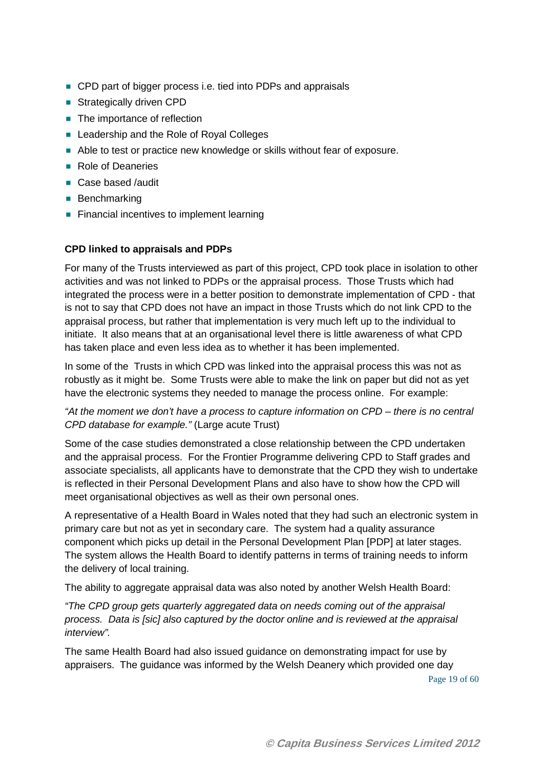- CPD part of bigger process i.e. tied into PDPs and appraisals
- Strategically driven CPD
- The importance of reflection
- **Exercise 2** Leadership and the Role of Royal Colleges
- Able to test or practice new knowledge or skills without fear of exposure.
- **Role of Deaneries**
- Case based /audit
- **Benchmarking**
- **Financial incentives to implement learning**

### **CPD linked to appraisals and PDPs**

For many of the Trusts interviewed as part of this project, CPD took place in isolation to other activities and was not linked to PDPs or the appraisal process. Those Trusts which had integrated the process were in a better position to demonstrate implementation of CPD - that is not to say that CPD does not have an impact in those Trusts which do not link CPD to the appraisal process, but rather that implementation is very much left up to the individual to initiate. It also means that at an organisational level there is little awareness of what CPD has taken place and even less idea as to whether it has been implemented.

In some of the Trusts in which CPD was linked into the appraisal process this was not as robustly as it might be. Some Trusts were able to make the link on paper but did not as yet have the electronic systems they needed to manage the process online. For example:

*"At the moment we don't have a process to capture information on CPD – there is no central CPD database for example."* (Large acute Trust)

Some of the case studies demonstrated a close relationship between the CPD undertaken and the appraisal process. For the Frontier Programme delivering CPD to Staff grades and associate specialists, all applicants have to demonstrate that the CPD they wish to undertake is reflected in their Personal Development Plans and also have to show how the CPD will meet organisational objectives as well as their own personal ones.

A representative of a Health Board in Wales noted that they had such an electronic system in primary care but not as yet in secondary care. The system had a quality assurance component which picks up detail in the Personal Development Plan [PDP] at later stages. The system allows the Health Board to identify patterns in terms of training needs to inform the delivery of local training.

The ability to aggregate appraisal data was also noted by another Welsh Health Board:

*"The CPD group gets quarterly aggregated data on needs coming out of the appraisal process. Data is [sic] also captured by the doctor online and is reviewed at the appraisal interview".*

The same Health Board had also issued guidance on demonstrating impact for use by appraisers. The guidance was informed by the Welsh Deanery which provided one day

Page 19 of 60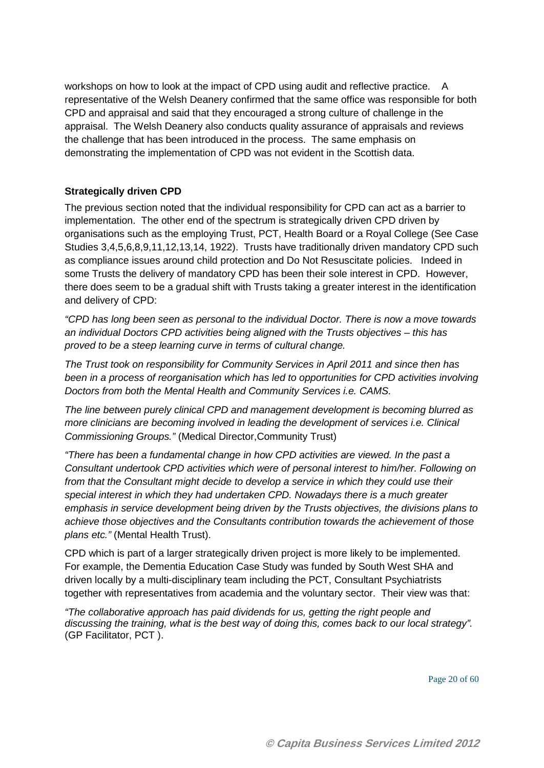workshops on how to look at the impact of CPD using audit and reflective practice. A representative of the Welsh Deanery confirmed that the same office was responsible for both CPD and appraisal and said that they encouraged a strong culture of challenge in the appraisal. The Welsh Deanery also conducts quality assurance of appraisals and reviews the challenge that has been introduced in the process. The same emphasis on demonstrating the implementation of CPD was not evident in the Scottish data.

### **Strategically driven CPD**

The previous section noted that the individual responsibility for CPD can act as a barrier to implementation. The other end of the spectrum is strategically driven CPD driven by organisations such as the employing Trust, PCT, Health Board or a Royal College (See Case Studies 3,4,5,6,8,9,11,12,13,14, 1922). Trusts have traditionally driven mandatory CPD such as compliance issues around child protection and Do Not Resuscitate policies. Indeed in some Trusts the delivery of mandatory CPD has been their sole interest in CPD. However, there does seem to be a gradual shift with Trusts taking a greater interest in the identification and delivery of CPD:

*"CPD has long been seen as personal to the individual Doctor. There is now a move towards an individual Doctors CPD activities being aligned with the Trusts objectives – this has proved to be a steep learning curve in terms of cultural change.*

*The Trust took on responsibility for Community Services in April 2011 and since then has been in a process of reorganisation which has led to opportunities for CPD activities involving Doctors from both the Mental Health and Community Services i.e. CAMS.*

*The line between purely clinical CPD and management development is becoming blurred as more clinicians are becoming involved in leading the development of services i.e. Clinical Commissioning Groups."* (Medical Director,Community Trust)

*"There has been a fundamental change in how CPD activities are viewed. In the past a Consultant undertook CPD activities which were of personal interest to him/her. Following on*  from that the Consultant might decide to develop a service in which they could use their *special interest in which they had undertaken CPD. Nowadays there is a much greater emphasis in service development being driven by the Trusts objectives, the divisions plans to achieve those objectives and the Consultants contribution towards the achievement of those plans etc."* (Mental Health Trust).

CPD which is part of a larger strategically driven project is more likely to be implemented. For example, the Dementia Education Case Study was funded by South West SHA and driven locally by a multi-disciplinary team including the PCT, Consultant Psychiatrists together with representatives from academia and the voluntary sector. Their view was that:

*"The collaborative approach has paid dividends for us, getting the right people and discussing the training, what is the best way of doing this, comes back to our local strategy".*  (GP Facilitator, PCT ).

Page 20 of 60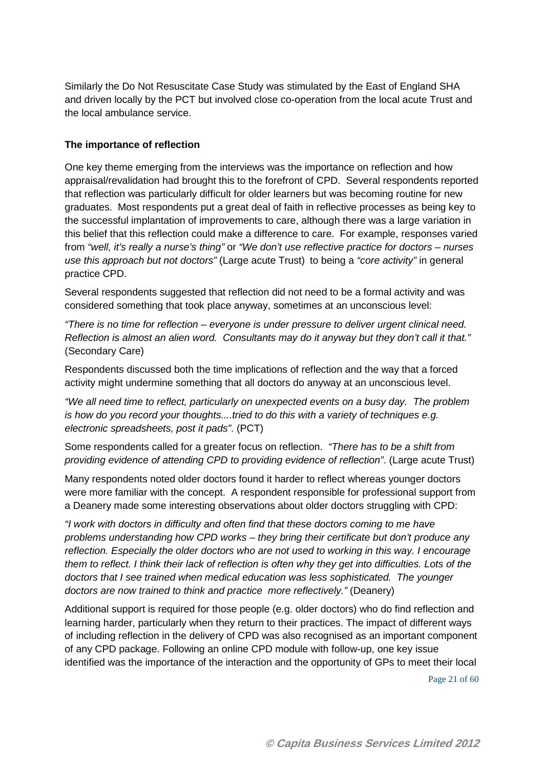Similarly the Do Not Resuscitate Case Study was stimulated by the East of England SHA and driven locally by the PCT but involved close co-operation from the local acute Trust and the local ambulance service.

### **The importance of reflection**

One key theme emerging from the interviews was the importance on reflection and how appraisal/revalidation had brought this to the forefront of CPD. Several respondents reported that reflection was particularly difficult for older learners but was becoming routine for new graduates. Most respondents put a great deal of faith in reflective processes as being key to the successful implantation of improvements to care, although there was a large variation in this belief that this reflection could make a difference to care. For example, responses varied from *"well, it's really a nurse's thing"* or *"We don't use reflective practice for doctors – nurses use this approach but not doctors"* (Large acute Trust) to being a *"core activity"* in general practice CPD.

Several respondents suggested that reflection did not need to be a formal activity and was considered something that took place anyway, sometimes at an unconscious level:

*"There is no time for reflection – everyone is under pressure to deliver urgent clinical need. Reflection is almost an alien word. Consultants may do it anyway but they don't call it that."*  (Secondary Care)

Respondents discussed both the time implications of reflection and the way that a forced activity might undermine something that all doctors do anyway at an unconscious level.

*"We all need time to reflect, particularly on unexpected events on a busy day. The problem is how do you record your thoughts....tried to do this with a variety of techniques e.g. electronic spreadsheets, post it pads"*. (PCT)

Some respondents called for a greater focus on reflection. *"There has to be a shift from providing evidence of attending CPD to providing evidence of reflection"*. (Large acute Trust)

Many respondents noted older doctors found it harder to reflect whereas younger doctors were more familiar with the concept. A respondent responsible for professional support from a Deanery made some interesting observations about older doctors struggling with CPD:

*"I work with doctors in difficulty and often find that these doctors coming to me have problems understanding how CPD works – they bring their certificate but don't produce any reflection. Especially the older doctors who are not used to working in this way. I encourage them to reflect. I think their lack of reflection is often why they get into difficulties. Lots of the doctors that I see trained when medical education was less sophisticated. The younger doctors are now trained to think and practice more reflectively."* (Deanery)

Additional support is required for those people (e.g. older doctors) who do find reflection and learning harder, particularly when they return to their practices. The impact of different ways of including reflection in the delivery of CPD was also recognised as an important component of any CPD package. Following an online CPD module with follow-up, one key issue identified was the importance of the interaction and the opportunity of GPs to meet their local

Page 21 of 60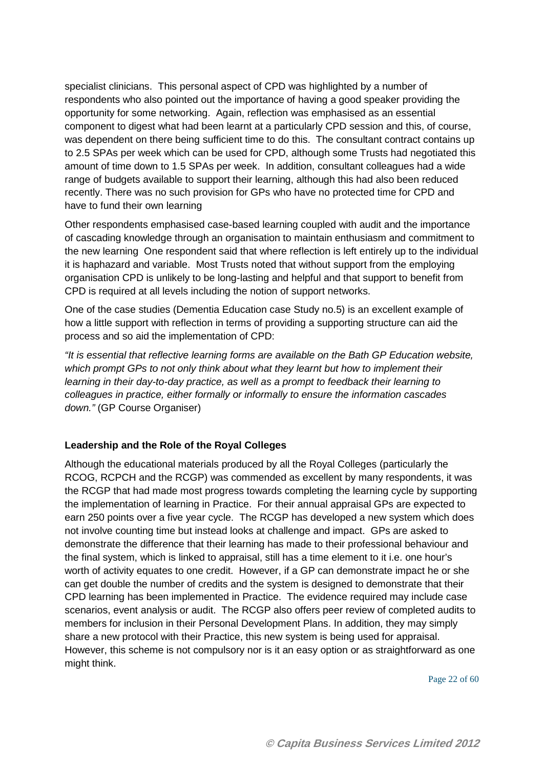specialist clinicians. This personal aspect of CPD was highlighted by a number of respondents who also pointed out the importance of having a good speaker providing the opportunity for some networking. Again, reflection was emphasised as an essential component to digest what had been learnt at a particularly CPD session and this, of course, was dependent on there being sufficient time to do this. The consultant contract contains up to 2.5 SPAs per week which can be used for CPD, although some Trusts had negotiated this amount of time down to 1.5 SPAs per week. In addition, consultant colleagues had a wide range of budgets available to support their learning, although this had also been reduced recently. There was no such provision for GPs who have no protected time for CPD and have to fund their own learning

Other respondents emphasised case-based learning coupled with audit and the importance of cascading knowledge through an organisation to maintain enthusiasm and commitment to the new learning One respondent said that where reflection is left entirely up to the individual it is haphazard and variable. Most Trusts noted that without support from the employing organisation CPD is unlikely to be long-lasting and helpful and that support to benefit from CPD is required at all levels including the notion of support networks.

One of the case studies (Dementia Education case Study no.5) is an excellent example of how a little support with reflection in terms of providing a supporting structure can aid the process and so aid the implementation of CPD:

*"It is essential that reflective learning forms are available on the Bath GP Education website, which prompt GPs to not only think about what they learnt but how to implement their learning in their day-to-day practice, as well as a prompt to feedback their learning to colleagues in practice, either formally or informally to ensure the information cascades down."* (GP Course Organiser)

### **Leadership and the Role of the Royal Colleges**

Although the educational materials produced by all the Royal Colleges (particularly the RCOG, RCPCH and the RCGP) was commended as excellent by many respondents, it was the RCGP that had made most progress towards completing the learning cycle by supporting the implementation of learning in Practice. For their annual appraisal GPs are expected to earn 250 points over a five year cycle. The RCGP has developed a new system which does not involve counting time but instead looks at challenge and impact. GPs are asked to demonstrate the difference that their learning has made to their professional behaviour and the final system, which is linked to appraisal, still has a time element to it i.e. one hour's worth of activity equates to one credit. However, if a GP can demonstrate impact he or she can get double the number of credits and the system is designed to demonstrate that their CPD learning has been implemented in Practice. The evidence required may include case scenarios, event analysis or audit. The RCGP also offers peer review of completed audits to members for inclusion in their Personal Development Plans. In addition, they may simply share a new protocol with their Practice, this new system is being used for appraisal. However, this scheme is not compulsory nor is it an easy option or as straightforward as one might think.

Page 22 of 60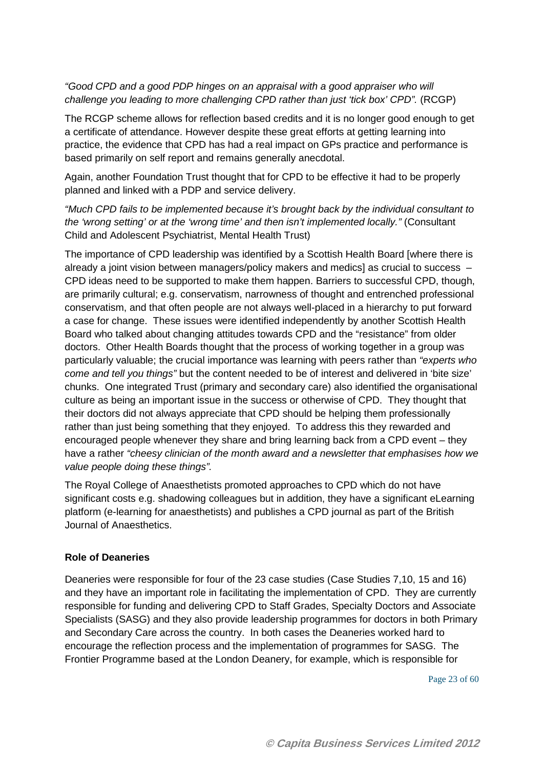### *"Good CPD and a good PDP hinges on an appraisal with a good appraiser who will challenge you leading to more challenging CPD rather than just 'tick box' CPD".* (RCGP)

The RCGP scheme allows for reflection based credits and it is no longer good enough to get a certificate of attendance. However despite these great efforts at getting learning into practice, the evidence that CPD has had a real impact on GPs practice and performance is based primarily on self report and remains generally anecdotal.

Again, another Foundation Trust thought that for CPD to be effective it had to be properly planned and linked with a PDP and service delivery.

*"Much CPD fails to be implemented because it's brought back by the individual consultant to the 'wrong setting' or at the 'wrong time' and then isn't implemented locally."* (Consultant Child and Adolescent Psychiatrist, Mental Health Trust)

The importance of CPD leadership was identified by a Scottish Health Board [where there is already a joint vision between managers/policy makers and medics] as crucial to success – CPD ideas need to be supported to make them happen. Barriers to successful CPD, though, are primarily cultural; e.g. conservatism, narrowness of thought and entrenched professional conservatism, and that often people are not always well-placed in a hierarchy to put forward a case for change. These issues were identified independently by another Scottish Health Board who talked about changing attitudes towards CPD and the "resistance" from older doctors. Other Health Boards thought that the process of working together in a group was particularly valuable; the crucial importance was learning with peers rather than *"experts who come and tell you things"* but the content needed to be of interest and delivered in 'bite size' chunks. One integrated Trust (primary and secondary care) also identified the organisational culture as being an important issue in the success or otherwise of CPD. They thought that their doctors did not always appreciate that CPD should be helping them professionally rather than just being something that they enjoyed. To address this they rewarded and encouraged people whenever they share and bring learning back from a CPD event – they have a rather *"cheesy clinician of the month award and a newsletter that emphasises how we value people doing these things".*

The Royal College of Anaesthetists promoted approaches to CPD which do not have significant costs e.g. shadowing colleagues but in addition, they have a significant eLearning platform (e-learning for anaesthetists) and publishes a CPD journal as part of the British Journal of Anaesthetics.

### **Role of Deaneries**

Deaneries were responsible for four of the 23 case studies (Case Studies 7,10, 15 and 16) and they have an important role in facilitating the implementation of CPD. They are currently responsible for funding and delivering CPD to Staff Grades, Specialty Doctors and Associate Specialists (SASG) and they also provide leadership programmes for doctors in both Primary and Secondary Care across the country. In both cases the Deaneries worked hard to encourage the reflection process and the implementation of programmes for SASG. The Frontier Programme based at the London Deanery, for example, which is responsible for

Page 23 of 60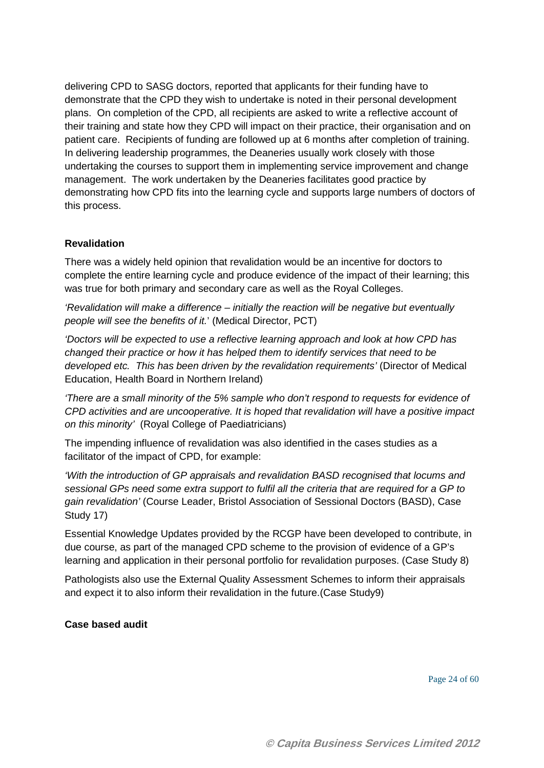delivering CPD to SASG doctors, reported that applicants for their funding have to demonstrate that the CPD they wish to undertake is noted in their personal development plans. On completion of the CPD, all recipients are asked to write a reflective account of their training and state how they CPD will impact on their practice, their organisation and on patient care. Recipients of funding are followed up at 6 months after completion of training. In delivering leadership programmes, the Deaneries usually work closely with those undertaking the courses to support them in implementing service improvement and change management. The work undertaken by the Deaneries facilitates good practice by demonstrating how CPD fits into the learning cycle and supports large numbers of doctors of this process.

### **Revalidation**

There was a widely held opinion that revalidation would be an incentive for doctors to complete the entire learning cycle and produce evidence of the impact of their learning; this was true for both primary and secondary care as well as the Royal Colleges.

*'Revalidation will make a difference – initially the reaction will be negative but eventually people will see the benefits of it.*' (Medical Director, PCT)

*'Doctors will be expected to use a reflective learning approach and look at how CPD has changed their practice or how it has helped them to identify services that need to be developed etc. This has been driven by the revalidation requirements'* (Director of Medical Education, Health Board in Northern Ireland)

*'There are a small minority of the 5% sample who don't respond to requests for evidence of CPD activities and are uncooperative. It is hoped that revalidation will have a positive impact on this minority'* (Royal College of Paediatricians)

The impending influence of revalidation was also identified in the cases studies as a facilitator of the impact of CPD, for example:

*'With the introduction of GP appraisals and revalidation BASD recognised that locums and sessional GPs need some extra support to fulfil all the criteria that are required for a GP to gain revalidation'* (Course Leader, Bristol Association of Sessional Doctors (BASD), Case Study 17)

Essential Knowledge Updates provided by the RCGP have been developed to contribute, in due course, as part of the managed CPD scheme to the provision of evidence of a GP's learning and application in their personal portfolio for revalidation purposes. (Case Study 8)

Pathologists also use the External Quality Assessment Schemes to inform their appraisals and expect it to also inform their revalidation in the future.(Case Study9)

### **Case based audit**

Page 24 of 60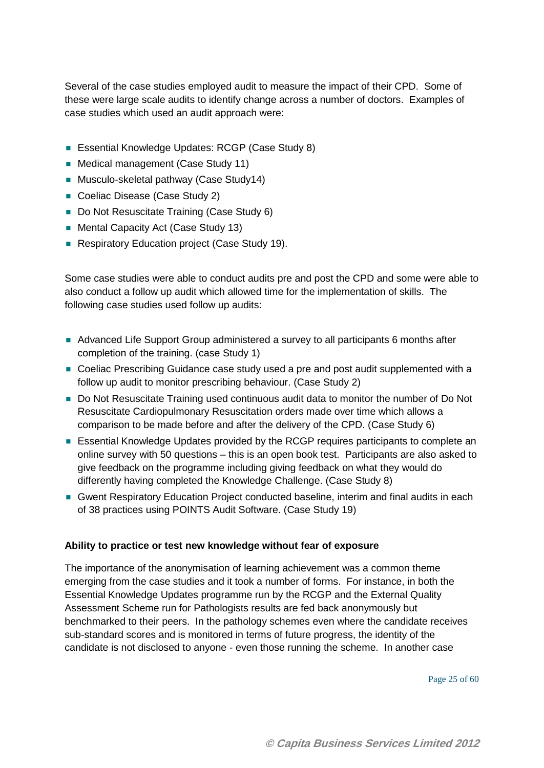Several of the case studies employed audit to measure the impact of their CPD. Some of these were large scale audits to identify change across a number of doctors. Examples of case studies which used an audit approach were:

- Essential Knowledge Updates: RCGP (Case Study 8)
- Medical management (Case Study 11)
- Musculo-skeletal pathway (Case Study14)
- Coeliac Disease (Case Study 2)
- Do Not Resuscitate Training (Case Study 6)
- Mental Capacity Act (Case Study 13)
- Respiratory Education project (Case Study 19).

Some case studies were able to conduct audits pre and post the CPD and some were able to also conduct a follow up audit which allowed time for the implementation of skills. The following case studies used follow up audits:

- Advanced Life Support Group administered a survey to all participants 6 months after completion of the training. (case Study 1)
- Coeliac Prescribing Guidance case study used a pre and post audit supplemented with a follow up audit to monitor prescribing behaviour. (Case Study 2)
- Do Not Resuscitate Training used continuous audit data to monitor the number of Do Not Resuscitate Cardiopulmonary Resuscitation orders made over time which allows a comparison to be made before and after the delivery of the CPD. (Case Study 6)
- **E** Essential Knowledge Updates provided by the RCGP requires participants to complete an online survey with 50 questions – this is an open book test. Participants are also asked to give feedback on the programme including giving feedback on what they would do differently having completed the Knowledge Challenge. (Case Study 8)
- Gwent Respiratory Education Project conducted baseline, interim and final audits in each of 38 practices using POINTS Audit Software. (Case Study 19)

### **Ability to practice or test new knowledge without fear of exposure**

The importance of the anonymisation of learning achievement was a common theme emerging from the case studies and it took a number of forms. For instance, in both the Essential Knowledge Updates programme run by the RCGP and the External Quality Assessment Scheme run for Pathologists results are fed back anonymously but benchmarked to their peers. In the pathology schemes even where the candidate receives sub-standard scores and is monitored in terms of future progress, the identity of the candidate is not disclosed to anyone - even those running the scheme. In another case

Page 25 of 60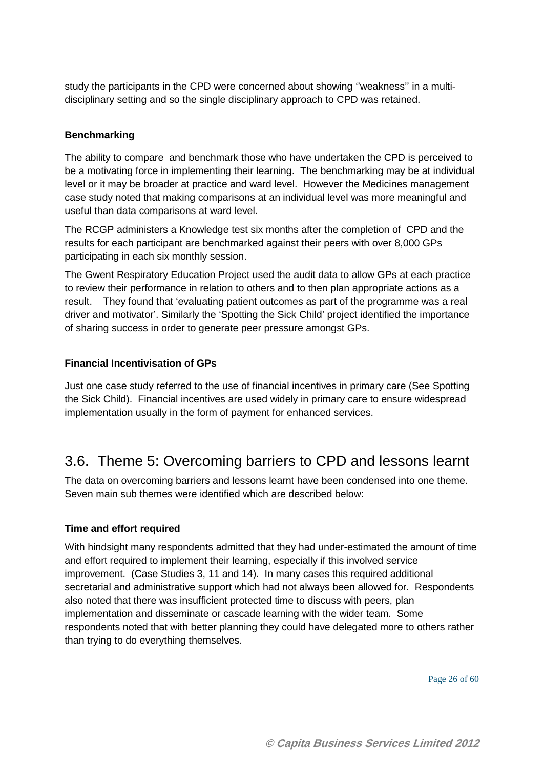study the participants in the CPD were concerned about showing ''weakness'' in a multidisciplinary setting and so the single disciplinary approach to CPD was retained.

### **Benchmarking**

The ability to compare and benchmark those who have undertaken the CPD is perceived to be a motivating force in implementing their learning. The benchmarking may be at individual level or it may be broader at practice and ward level. However the Medicines management case study noted that making comparisons at an individual level was more meaningful and useful than data comparisons at ward level.

The RCGP administers a Knowledge test six months after the completion of CPD and the results for each participant are benchmarked against their peers with over 8,000 GPs participating in each six monthly session.

The Gwent Respiratory Education Project used the audit data to allow GPs at each practice to review their performance in relation to others and to then plan appropriate actions as a result. They found that 'evaluating patient outcomes as part of the programme was a real driver and motivator'. Similarly the 'Spotting the Sick Child' project identified the importance of sharing success in order to generate peer pressure amongst GPs.

### **Financial Incentivisation of GPs**

Just one case study referred to the use of financial incentives in primary care (See Spotting the Sick Child). Financial incentives are used widely in primary care to ensure widespread implementation usually in the form of payment for enhanced services.

### <span id="page-27-0"></span>3.6. Theme 5: Overcoming barriers to CPD and lessons learnt

The data on overcoming barriers and lessons learnt have been condensed into one theme. Seven main sub themes were identified which are described below:

### **Time and effort required**

With hindsight many respondents admitted that they had under-estimated the amount of time and effort required to implement their learning, especially if this involved service improvement. (Case Studies 3, 11 and 14). In many cases this required additional secretarial and administrative support which had not always been allowed for. Respondents also noted that there was insufficient protected time to discuss with peers, plan implementation and disseminate or cascade learning with the wider team. Some respondents noted that with better planning they could have delegated more to others rather than trying to do everything themselves.

Page 26 of 60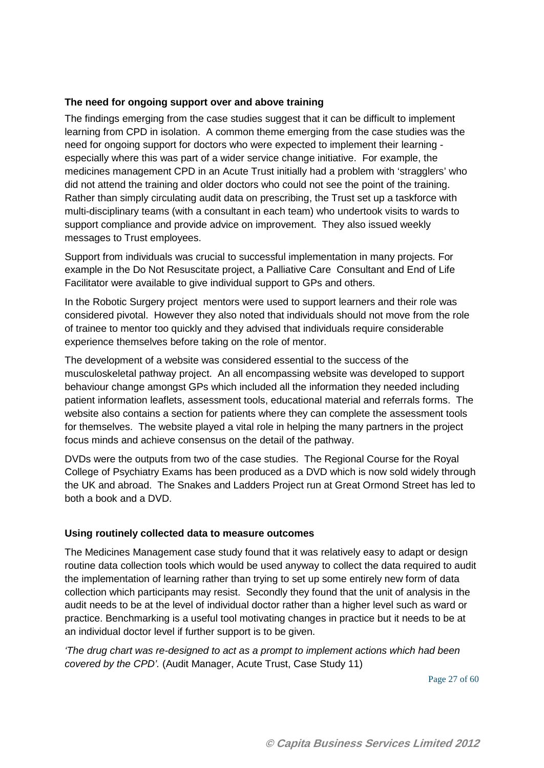### **The need for ongoing support over and above training**

The findings emerging from the case studies suggest that it can be difficult to implement learning from CPD in isolation. A common theme emerging from the case studies was the need for ongoing support for doctors who were expected to implement their learning especially where this was part of a wider service change initiative. For example, the medicines management CPD in an Acute Trust initially had a problem with 'stragglers' who did not attend the training and older doctors who could not see the point of the training. Rather than simply circulating audit data on prescribing, the Trust set up a taskforce with multi-disciplinary teams (with a consultant in each team) who undertook visits to wards to support compliance and provide advice on improvement. They also issued weekly messages to Trust employees.

Support from individuals was crucial to successful implementation in many projects. For example in the Do Not Resuscitate project, a Palliative Care Consultant and End of Life Facilitator were available to give individual support to GPs and others.

In the Robotic Surgery project mentors were used to support learners and their role was considered pivotal. However they also noted that individuals should not move from the role of trainee to mentor too quickly and they advised that individuals require considerable experience themselves before taking on the role of mentor.

The development of a website was considered essential to the success of the musculoskeletal pathway project. An all encompassing website was developed to support behaviour change amongst GPs which included all the information they needed including patient information leaflets, assessment tools, educational material and referrals forms. The website also contains a section for patients where they can complete the assessment tools for themselves. The website played a vital role in helping the many partners in the project focus minds and achieve consensus on the detail of the pathway.

DVDs were the outputs from two of the case studies. The Regional Course for the Royal College of Psychiatry Exams has been produced as a DVD which is now sold widely through the UK and abroad. The Snakes and Ladders Project run at Great Ormond Street has led to both a book and a DVD.

### **Using routinely collected data to measure outcomes**

The Medicines Management case study found that it was relatively easy to adapt or design routine data collection tools which would be used anyway to collect the data required to audit the implementation of learning rather than trying to set up some entirely new form of data collection which participants may resist. Secondly they found that the unit of analysis in the audit needs to be at the level of individual doctor rather than a higher level such as ward or practice. Benchmarking is a useful tool motivating changes in practice but it needs to be at an individual doctor level if further support is to be given.

*'The drug chart was re-designed to act as a prompt to implement actions which had been covered by the CPD'.* (Audit Manager, Acute Trust, Case Study 11)

Page 27 of 60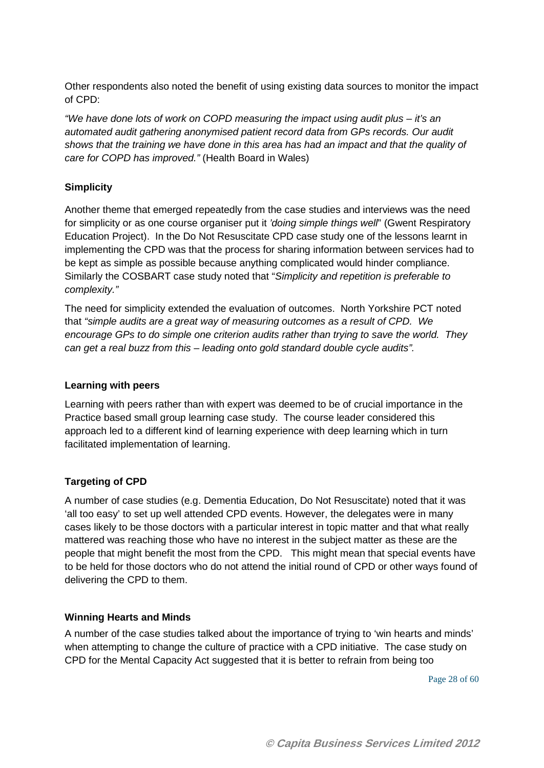Other respondents also noted the benefit of using existing data sources to monitor the impact of CPD:

*"We have done lots of work on COPD measuring the impact using audit plus – it's an automated audit gathering anonymised patient record data from GPs records. Our audit shows that the training we have done in this area has had an impact and that the quality of care for COPD has improved."* (Health Board in Wales)

### **Simplicity**

Another theme that emerged repeatedly from the case studies and interviews was the need for simplicity or as one course organiser put it *'doing simple things well*" (Gwent Respiratory Education Project). In the Do Not Resuscitate CPD case study one of the lessons learnt in implementing the CPD was that the process for sharing information between services had to be kept as simple as possible because anything complicated would hinder compliance. Similarly the COSBART case study noted that "*Simplicity and repetition is preferable to complexity."* 

The need for simplicity extended the evaluation of outcomes. North Yorkshire PCT noted that *"simple audits are a great way of measuring outcomes as a result of CPD. We encourage GPs to do simple one criterion audits rather than trying to save the world. They can get a real buzz from this – leading onto gold standard double cycle audits".*

#### **Learning with peers**

Learning with peers rather than with expert was deemed to be of crucial importance in the Practice based small group learning case study. The course leader considered this approach led to a different kind of learning experience with deep learning which in turn facilitated implementation of learning.

### **Targeting of CPD**

A number of case studies (e.g. Dementia Education, Do Not Resuscitate) noted that it was 'all too easy' to set up well attended CPD events. However, the delegates were in many cases likely to be those doctors with a particular interest in topic matter and that what really mattered was reaching those who have no interest in the subject matter as these are the people that might benefit the most from the CPD. This might mean that special events have to be held for those doctors who do not attend the initial round of CPD or other ways found of delivering the CPD to them.

### **Winning Hearts and Minds**

A number of the case studies talked about the importance of trying to 'win hearts and minds' when attempting to change the culture of practice with a CPD initiative. The case study on CPD for the Mental Capacity Act suggested that it is better to refrain from being too

Page 28 of 60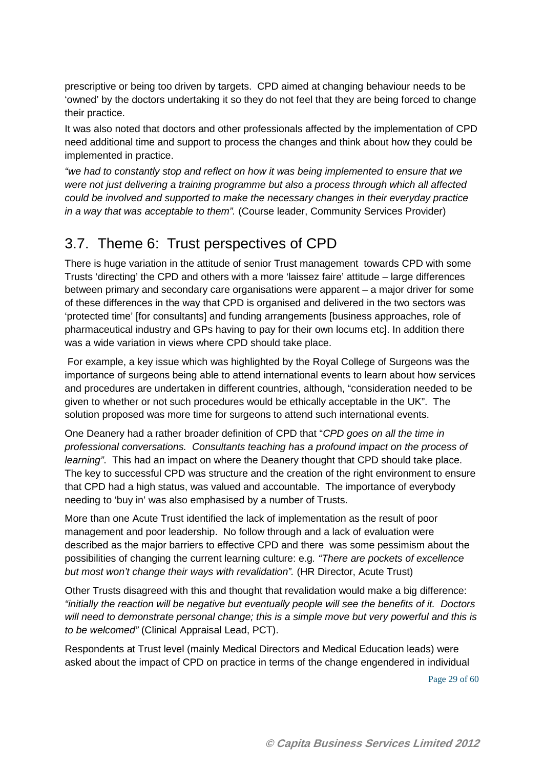prescriptive or being too driven by targets. CPD aimed at changing behaviour needs to be 'owned' by the doctors undertaking it so they do not feel that they are being forced to change their practice.

It was also noted that doctors and other professionals affected by the implementation of CPD need additional time and support to process the changes and think about how they could be implemented in practice.

*"we had to constantly stop and reflect on how it was being implemented to ensure that we were not just delivering a training programme but also a process through which all affected could be involved and supported to make the necessary changes in their everyday practice in a way that was acceptable to them".* (Course leader, Community Services Provider)

## <span id="page-30-0"></span>3.7. Theme 6: Trust perspectives of CPD

There is huge variation in the attitude of senior Trust management towards CPD with some Trusts 'directing' the CPD and others with a more 'laissez faire' attitude – large differences between primary and secondary care organisations were apparent – a major driver for some of these differences in the way that CPD is organised and delivered in the two sectors was 'protected time' [for consultants] and funding arrangements [business approaches, role of pharmaceutical industry and GPs having to pay for their own locums etc]. In addition there was a wide variation in views where CPD should take place.

For example, a key issue which was highlighted by the Royal College of Surgeons was the importance of surgeons being able to attend international events to learn about how services and procedures are undertaken in different countries, although, "consideration needed to be given to whether or not such procedures would be ethically acceptable in the UK". The solution proposed was more time for surgeons to attend such international events.

One Deanery had a rather broader definition of CPD that "*CPD goes on all the time in professional conversations. Consultants teaching has a profound impact on the process of learning"*. This had an impact on where the Deanery thought that CPD should take place. The key to successful CPD was structure and the creation of the right environment to ensure that CPD had a high status, was valued and accountable. The importance of everybody needing to 'buy in' was also emphasised by a number of Trusts.

More than one Acute Trust identified the lack of implementation as the result of poor management and poor leadership. No follow through and a lack of evaluation were described as the major barriers to effective CPD and there was some pessimism about the possibilities of changing the current learning culture: e.g*. "There are pockets of excellence but most won't change their ways with revalidation".* (HR Director, Acute Trust)

Other Trusts disagreed with this and thought that revalidation would make a big difference: *"initially the reaction will be negative but eventually people will see the benefits of it. Doctors will need to demonstrate personal change; this is a simple move but very powerful and this is to be welcomed"* (Clinical Appraisal Lead, PCT).

Respondents at Trust level (mainly Medical Directors and Medical Education leads) were asked about the impact of CPD on practice in terms of the change engendered in individual

Page 29 of 60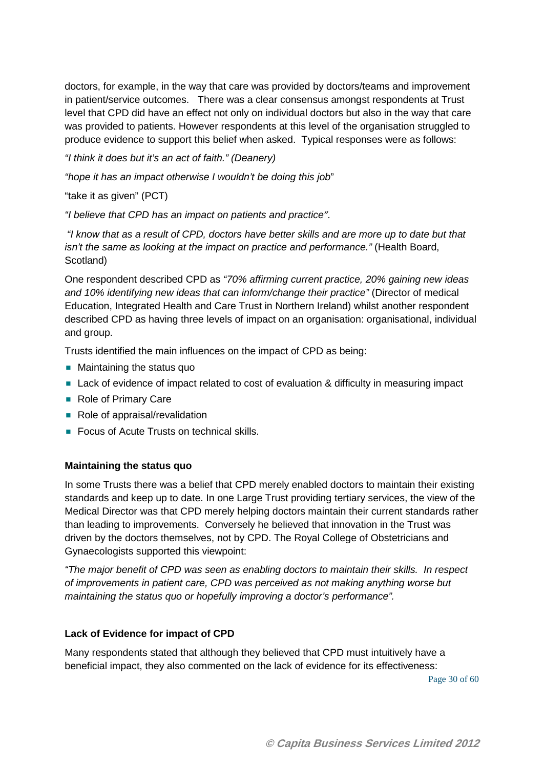doctors, for example, in the way that care was provided by doctors/teams and improvement in patient/service outcomes. There was a clear consensus amongst respondents at Trust level that CPD did have an effect not only on individual doctors but also in the way that care was provided to patients. However respondents at this level of the organisation struggled to produce evidence to support this belief when asked. Typical responses were as follows:

*"I think it does but it's an act of faith." (Deanery)* 

*"hope it has an impact otherwise I wouldn't be doing this job*"

"take it as given" (PCT)

*"I believe that CPD has an impact on patients and practice".*

*"I know that as a result of CPD, doctors have better skills and are more up to date but that isn't the same as looking at the impact on practice and performance."* (Health Board, Scotland)

One respondent described CPD as *"70% affirming current practice, 20% gaining new ideas and 10% identifying new ideas that can inform/change their practice"* (Director of medical Education, Integrated Health and Care Trust in Northern Ireland) whilst another respondent described CPD as having three levels of impact on an organisation: organisational, individual and group.

Trusts identified the main influences on the impact of CPD as being:

- **Maintaining the status quo**
- Lack of evidence of impact related to cost of evaluation & difficulty in measuring impact
- Role of Primary Care
- Role of appraisal/revalidation
- Focus of Acute Trusts on technical skills.

### **Maintaining the status quo**

In some Trusts there was a belief that CPD merely enabled doctors to maintain their existing standards and keep up to date. In one Large Trust providing tertiary services, the view of the Medical Director was that CPD merely helping doctors maintain their current standards rather than leading to improvements. Conversely he believed that innovation in the Trust was driven by the doctors themselves, not by CPD. The Royal College of Obstetricians and Gynaecologists supported this viewpoint:

*"The major benefit of CPD was seen as enabling doctors to maintain their skills. In respect of improvements in patient care, CPD was perceived as not making anything worse but maintaining the status quo or hopefully improving a doctor's performance".*

### **Lack of Evidence for impact of CPD**

Many respondents stated that although they believed that CPD must intuitively have a beneficial impact, they also commented on the lack of evidence for its effectiveness:

Page 30 of 60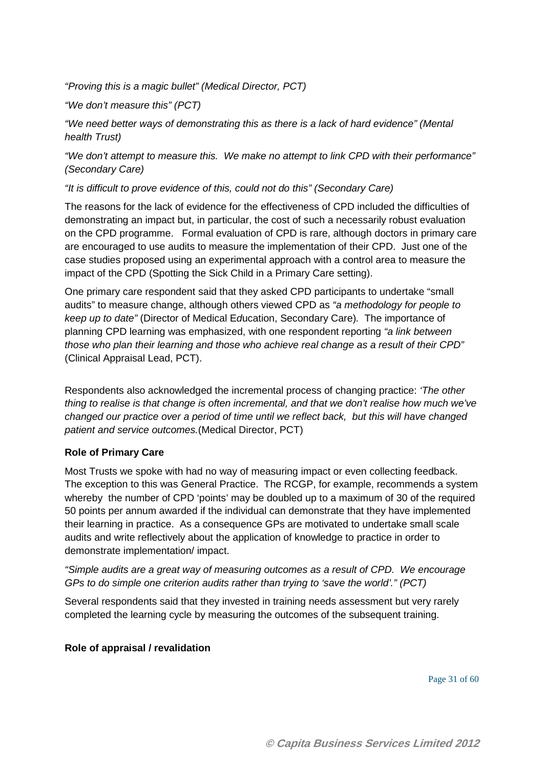*"Proving this is a magic bullet" (Medical Director, PCT)*

*"We don't measure this" (PCT)*

*"We need better ways of demonstrating this as there is a lack of hard evidence" (Mental health Trust)*

*"We don't attempt to measure this. We make no attempt to link CPD with their performance" (Secondary Care)*

*"It is difficult to prove evidence of this, could not do this" (Secondary Care)*

The reasons for the lack of evidence for the effectiveness of CPD included the difficulties of demonstrating an impact but, in particular, the cost of such a necessarily robust evaluation on the CPD programme. Formal evaluation of CPD is rare, although doctors in primary care are encouraged to use audits to measure the implementation of their CPD. Just one of the case studies proposed using an experimental approach with a control area to measure the impact of the CPD (Spotting the Sick Child in a Primary Care setting).

One primary care respondent said that they asked CPD participants to undertake "small audits" to measure change, although others viewed CPD as *"a methodology for people to keep up to date"* (Director of Medical E*d*ucation, Secondary Care)*.* The importance of planning CPD learning was emphasized, with one respondent reporting *"a link between those who plan their learning and those who achieve real change as a result of their CPD"* (Clinical Appraisal Lead, PCT).

Respondents also acknowledged the incremental process of changing practice: *'The other thing to realise is that change is often incremental, and that we don't realise how much we've changed our practice over a period of time until we reflect back, but this will have changed patient and service outcomes.*(Medical Director, PCT)

### **Role of Primary Care**

Most Trusts we spoke with had no way of measuring impact or even collecting feedback. The exception to this was General Practice. The RCGP, for example, recommends a system whereby the number of CPD 'points' may be doubled up to a maximum of 30 of the required 50 points per annum awarded if the individual can demonstrate that they have implemented their learning in practice. As a consequence GPs are motivated to undertake small scale audits and write reflectively about the application of knowledge to practice in order to demonstrate implementation/ impact.

*"Simple audits are a great way of measuring outcomes as a result of CPD. We encourage GPs to do simple one criterion audits rather than trying to 'save the world'." (PCT)*

Several respondents said that they invested in training needs assessment but very rarely completed the learning cycle by measuring the outcomes of the subsequent training.

### **Role of appraisal / revalidation**

Page 31 of 60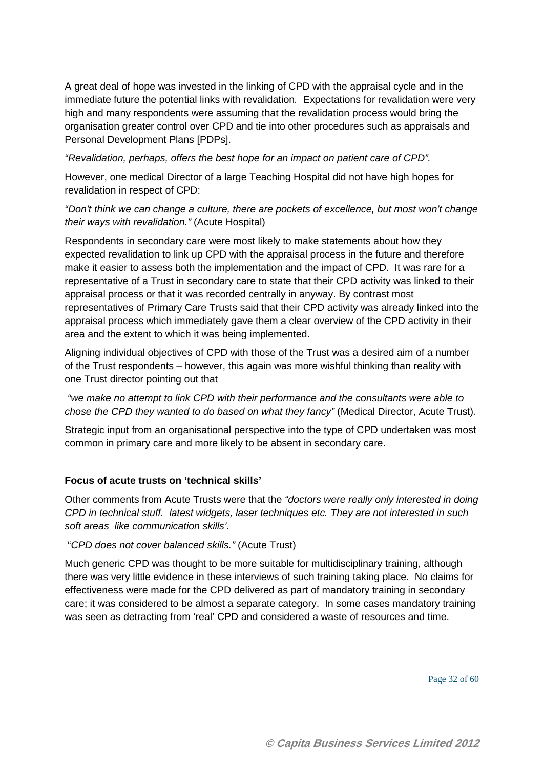A great deal of hope was invested in the linking of CPD with the appraisal cycle and in the immediate future the potential links with revalidation*.* Expectations for revalidation were very high and many respondents were assuming that the revalidation process would bring the organisation greater control over CPD and tie into other procedures such as appraisals and Personal Development Plans [PDPs].

*"Revalidation, perhaps, offers the best hope for an impact on patient care of CPD".* 

However, one medical Director of a large Teaching Hospital did not have high hopes for revalidation in respect of CPD:

*"Don't think we can change a culture, there are pockets of excellence, but most won't change their ways with revalidation."* (Acute Hospital)

Respondents in secondary care were most likely to make statements about how they expected revalidation to link up CPD with the appraisal process in the future and therefore make it easier to assess both the implementation and the impact of CPD. It was rare for a representative of a Trust in secondary care to state that their CPD activity was linked to their appraisal process or that it was recorded centrally in anyway. By contrast most representatives of Primary Care Trusts said that their CPD activity was already linked into the appraisal process which immediately gave them a clear overview of the CPD activity in their area and the extent to which it was being implemented.

Aligning individual objectives of CPD with those of the Trust was a desired aim of a number of the Trust respondents – however, this again was more wishful thinking than reality with one Trust director pointing out that

*"we make no attempt to link CPD with their performance and the consultants were able to chose the CPD they wanted to do based on what they fancy"* (Medical Director, Acute Trust)*.* 

Strategic input from an organisational perspective into the type of CPD undertaken was most common in primary care and more likely to be absent in secondary care.

### **Focus of acute trusts on 'technical skills'**

Other comments from Acute Trusts were that the *"doctors were really only interested in doing CPD in technical stuff. latest widgets, laser techniques etc. They are not interested in such soft areas like communication skills'.*

#### "*CPD does not cover balanced skills."* (Acute Trust)

Much generic CPD was thought to be more suitable for multidisciplinary training, although there was very little evidence in these interviews of such training taking place. No claims for effectiveness were made for the CPD delivered as part of mandatory training in secondary care; it was considered to be almost a separate category. In some cases mandatory training was seen as detracting from 'real' CPD and considered a waste of resources and time.

Page 32 of 60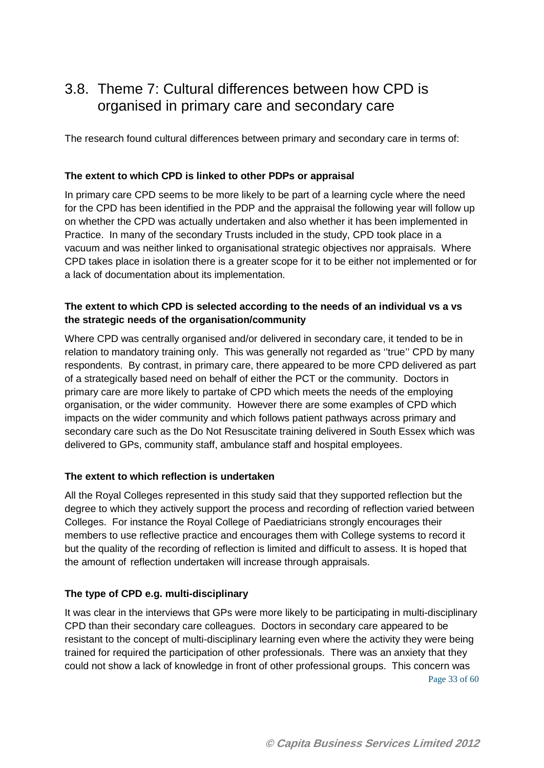### <span id="page-34-0"></span>3.8. Theme 7: Cultural differences between how CPD is organised in primary care and secondary care

The research found cultural differences between primary and secondary care in terms of:

### **The extent to which CPD is linked to other PDPs or appraisal**

In primary care CPD seems to be more likely to be part of a learning cycle where the need for the CPD has been identified in the PDP and the appraisal the following year will follow up on whether the CPD was actually undertaken and also whether it has been implemented in Practice. In many of the secondary Trusts included in the study, CPD took place in a vacuum and was neither linked to organisational strategic objectives nor appraisals. Where CPD takes place in isolation there is a greater scope for it to be either not implemented or for a lack of documentation about its implementation.

### **The extent to which CPD is selected according to the needs of an individual vs a vs the strategic needs of the organisation/community**

Where CPD was centrally organised and/or delivered in secondary care, it tended to be in relation to mandatory training only. This was generally not regarded as ''true'' CPD by many respondents. By contrast, in primary care, there appeared to be more CPD delivered as part of a strategically based need on behalf of either the PCT or the community. Doctors in primary care are more likely to partake of CPD which meets the needs of the employing organisation, or the wider community. However there are some examples of CPD which impacts on the wider community and which follows patient pathways across primary and secondary care such as the Do Not Resuscitate training delivered in South Essex which was delivered to GPs, community staff, ambulance staff and hospital employees.

### **The extent to which reflection is undertaken**

All the Royal Colleges represented in this study said that they supported reflection but the degree to which they actively support the process and recording of reflection varied between Colleges. For instance the Royal College of Paediatricians strongly encourages their members to use reflective practice and encourages them with College systems to record it but the quality of the recording of reflection is limited and difficult to assess. It is hoped that the amount of reflection undertaken will increase through appraisals.

### **The type of CPD e.g. multi-disciplinary**

Page 33 of 60 It was clear in the interviews that GPs were more likely to be participating in multi-disciplinary CPD than their secondary care colleagues. Doctors in secondary care appeared to be resistant to the concept of multi-disciplinary learning even where the activity they were being trained for required the participation of other professionals. There was an anxiety that they could not show a lack of knowledge in front of other professional groups. This concern was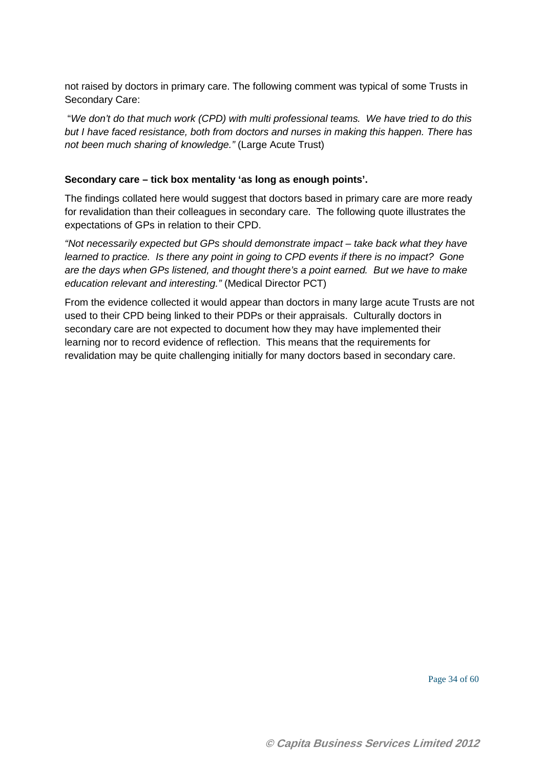not raised by doctors in primary care. The following comment was typical of some Trusts in Secondary Care:

"*We don't do that much work (CPD) with multi professional teams. We have tried to do this but I have faced resistance, both from doctors and nurses in making this happen. There has not been much sharing of knowledge."* (Large Acute Trust)

### **Secondary care – tick box mentality 'as long as enough points'.**

The findings collated here would suggest that doctors based in primary care are more ready for revalidation than their colleagues in secondary care. The following quote illustrates the expectations of GPs in relation to their CPD.

*"Not necessarily expected but GPs should demonstrate impact – take back what they have learned to practice. Is there any point in going to CPD events if there is no impact? Gone are the days when GPs listened, and thought there's a point earned. But we have to make education relevant and interesting."* (Medical Director PCT)

From the evidence collected it would appear than doctors in many large acute Trusts are not used to their CPD being linked to their PDPs or their appraisals. Culturally doctors in secondary care are not expected to document how they may have implemented their learning nor to record evidence of reflection. This means that the requirements for revalidation may be quite challenging initially for many doctors based in secondary care.

Page 34 of 60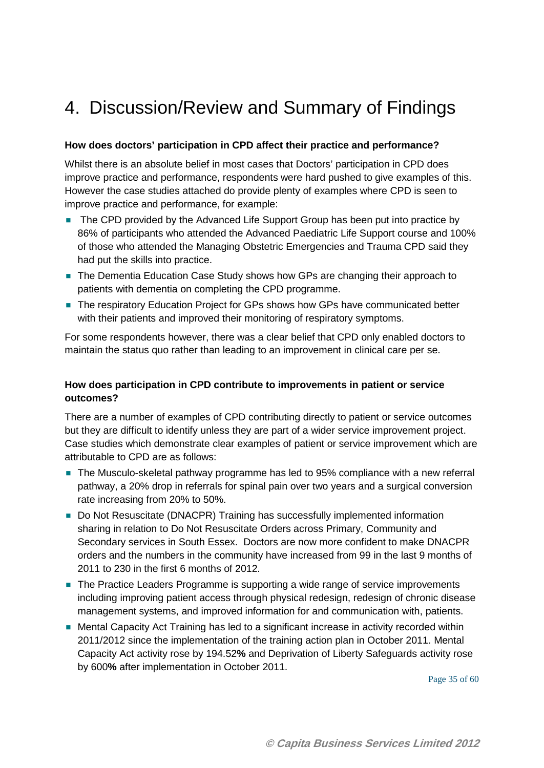# <span id="page-36-0"></span>4. Discussion/Review and Summary of Findings

### **How does doctors' participation in CPD affect their practice and performance?**

Whilst there is an absolute belief in most cases that Doctors' participation in CPD does improve practice and performance, respondents were hard pushed to give examples of this. However the case studies attached do provide plenty of examples where CPD is seen to improve practice and performance, for example:

- The CPD provided by the Advanced Life Support Group has been put into practice by 86% of participants who attended the Advanced Paediatric Life Support course and 100% of those who attended the Managing Obstetric Emergencies and Trauma CPD said they had put the skills into practice.
- The Dementia Education Case Study shows how GPs are changing their approach to patients with dementia on completing the CPD programme.
- The respiratory Education Project for GPs shows how GPs have communicated better with their patients and improved their monitoring of respiratory symptoms.

For some respondents however, there was a clear belief that CPD only enabled doctors to maintain the status quo rather than leading to an improvement in clinical care per se.

### **How does participation in CPD contribute to improvements in patient or service outcomes?**

There are a number of examples of CPD contributing directly to patient or service outcomes but they are difficult to identify unless they are part of a wider service improvement project. Case studies which demonstrate clear examples of patient or service improvement which are attributable to CPD are as follows:

- The Musculo-skeletal pathway programme has led to 95% compliance with a new referral pathway, a 20% drop in referrals for spinal pain over two years and a surgical conversion rate increasing from 20% to 50%.
- Do Not Resuscitate (DNACPR) Training has successfully implemented information sharing in relation to Do Not Resuscitate Orders across Primary, Community and Secondary services in South Essex. Doctors are now more confident to make DNACPR orders and the numbers in the community have increased from 99 in the last 9 months of 2011 to 230 in the first 6 months of 2012.
- The Practice Leaders Programme is supporting a wide range of service improvements including improving patient access through physical redesign, redesign of chronic disease management systems, and improved information for and communication with, patients.
- Mental Capacity Act Training has led to a significant increase in activity recorded within 2011/2012 since the implementation of the training action plan in October 2011. Mental Capacity Act activity rose by 194.52**%** and Deprivation of Liberty Safeguards activity rose by 600**%** after implementation in October 2011.

Page 35 of 60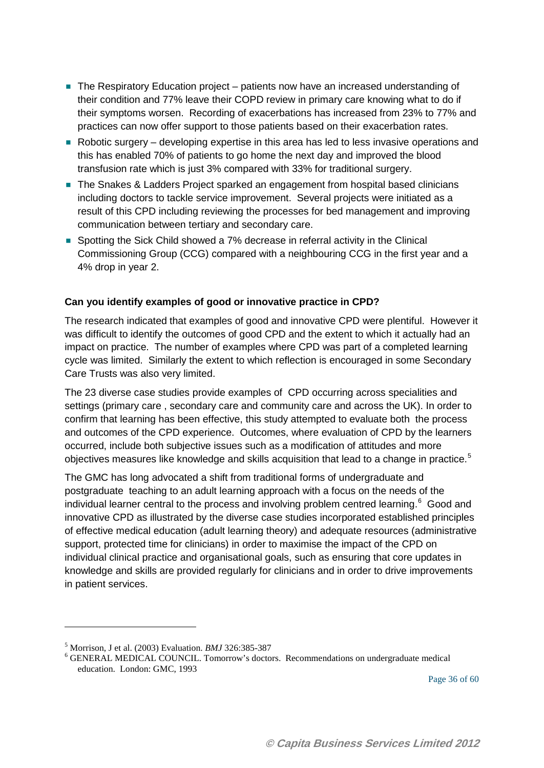- The Respiratory Education project patients now have an increased understanding of their condition and 77% leave their COPD review in primary care knowing what to do if their symptoms worsen. Recording of exacerbations has increased from 23% to 77% and practices can now offer support to those patients based on their exacerbation rates.
- Robotic surgery developing expertise in this area has led to less invasive operations and this has enabled 70% of patients to go home the next day and improved the blood transfusion rate which is just 3% compared with 33% for traditional surgery.
- The Snakes & Ladders Project sparked an engagement from hospital based clinicians including doctors to tackle service improvement. Several projects were initiated as a result of this CPD including reviewing the processes for bed management and improving communication between tertiary and secondary care.
- Spotting the Sick Child showed a 7% decrease in referral activity in the Clinical Commissioning Group (CCG) compared with a neighbouring CCG in the first year and a 4% drop in year 2.

### **Can you identify examples of good or innovative practice in CPD?**

The research indicated that examples of good and innovative CPD were plentiful. However it was difficult to identify the outcomes of good CPD and the extent to which it actually had an impact on practice. The number of examples where CPD was part of a completed learning cycle was limited. Similarly the extent to which reflection is encouraged in some Secondary Care Trusts was also very limited.

The 23 diverse case studies provide examples of CPD occurring across specialities and settings (primary care , secondary care and community care and across the UK). In order to confirm that learning has been effective, this study attempted to evaluate both the process and outcomes of the CPD experience. Outcomes, where evaluation of CPD by the learners occurred, include both subjective issues such as a modification of attitudes and more objectives measures like knowledge and skills acquisition that lead to a change in practice.<sup>[5](#page-37-0)</sup>

The GMC has long advocated a shift from traditional forms of undergraduate and postgraduate teaching to an adult learning approach with a focus on the needs of the individual learner central to the process and involving problem centred learning.<sup>[6](#page-37-1)</sup> Good and innovative CPD as illustrated by the diverse case studies incorporated established principles of effective medical education (adult learning theory) and adequate resources (administrative support, protected time for clinicians) in order to maximise the impact of the CPD on individual clinical practice and organisational goals, such as ensuring that core updates in knowledge and skills are provided regularly for clinicians and in order to drive improvements in patient services.

1

Page 36 of 60

<span id="page-37-1"></span>

<span id="page-37-0"></span> $<sup>5</sup>$  Morrison, J et al. (2003) Evaluation. *BMJ* 326:385-387<br> $<sup>6</sup>$  GENERAL MEDICAL COUNCIL. Tomorrow's doctors. Recommendations on undergraduate medical</sup></sup> education. London: GMC, 1993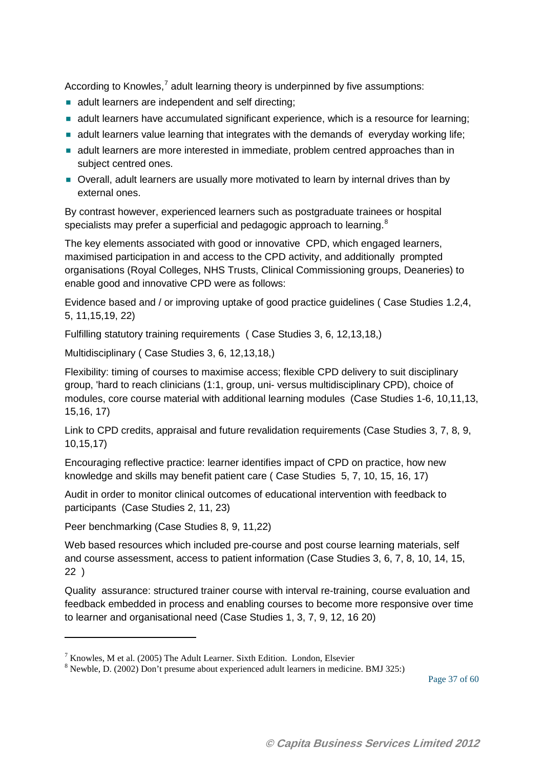According to Knowles,<sup>[7](#page-38-0)</sup> adult learning theory is underpinned by five assumptions:

- adult learners are independent and self directing;
- adult learners have accumulated significant experience, which is a resource for learning:
- **adult learners value learning that integrates with the demands of everyday working life;**
- adult learners are more interested in immediate, problem centred approaches than in subject centred ones.
- Overall, adult learners are usually more motivated to learn by internal drives than by external ones.

By contrast however, experienced learners such as postgraduate trainees or hospital specialists may prefer a superficial and pedagogic approach to learning. $8$ 

The key elements associated with good or innovative CPD, which engaged learners, maximised participation in and access to the CPD activity, and additionally prompted organisations (Royal Colleges, NHS Trusts, Clinical Commissioning groups, Deaneries) to enable good and innovative CPD were as follows:

Evidence based and / or improving uptake of good practice guidelines ( Case Studies 1.2,4, 5, 11,15,19, 22)

Fulfilling statutory training requirements ( Case Studies 3, 6, 12,13,18,)

Multidisciplinary ( Case Studies 3, 6, 12,13,18,)

Flexibility: timing of courses to maximise access; flexible CPD delivery to suit disciplinary group, 'hard to reach clinicians (1:1, group, uni- versus multidisciplinary CPD), choice of modules, core course material with additional learning modules (Case Studies 1-6, 10,11,13, 15,16, 17)

Link to CPD credits, appraisal and future revalidation requirements (Case Studies 3, 7, 8, 9, 10,15,17)

Encouraging reflective practice: learner identifies impact of CPD on practice, how new knowledge and skills may benefit patient care ( Case Studies 5, 7, 10, 15, 16, 17)

Audit in order to monitor clinical outcomes of educational intervention with feedback to participants (Case Studies 2, 11, 23)

Peer benchmarking (Case Studies 8, 9, 11,22)

**.** 

Web based resources which included pre-course and post course learning materials, self and course assessment, access to patient information (Case Studies 3, 6, 7, 8, 10, 14, 15, 22 )

Quality assurance: structured trainer course with interval re-training, course evaluation and feedback embedded in process and enabling courses to become more responsive over time to learner and organisational need (Case Studies 1, 3, 7, 9, 12, 16 20)

Page 37 of 60

<span id="page-38-1"></span><span id="page-38-0"></span><sup>&</sup>lt;sup>7</sup> Knowles, M et al. (2005) The Adult Learner. Sixth Edition. London, Elsevier  $8$  Newble, D. (2002) Don't presume about experienced adult learners in medicine. BMJ 325:)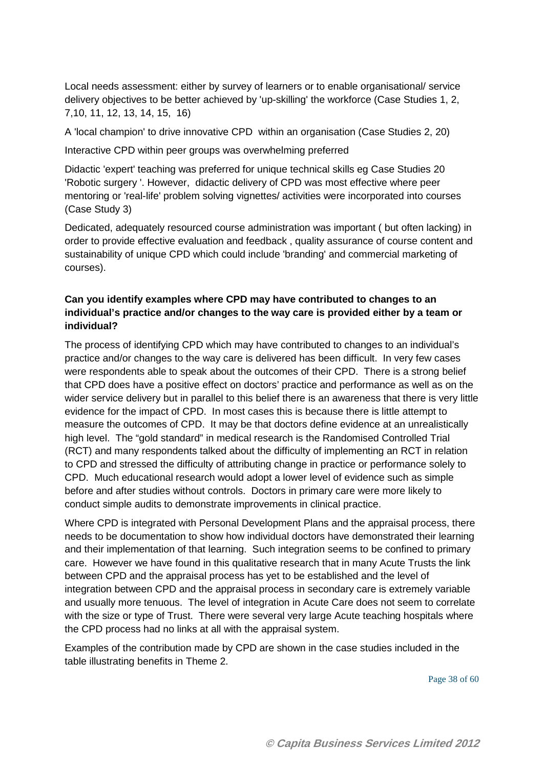Local needs assessment: either by survey of learners or to enable organisational/ service delivery objectives to be better achieved by 'up-skilling' the workforce (Case Studies 1, 2, 7,10, 11, 12, 13, 14, 15, 16)

A 'local champion' to drive innovative CPD within an organisation (Case Studies 2, 20)

Interactive CPD within peer groups was overwhelming preferred

Didactic 'expert' teaching was preferred for unique technical skills eg Case Studies 20 'Robotic surgery '. However, didactic delivery of CPD was most effective where peer mentoring or 'real-life' problem solving vignettes/ activities were incorporated into courses (Case Study 3)

Dedicated, adequately resourced course administration was important ( but often lacking) in order to provide effective evaluation and feedback , quality assurance of course content and sustainability of unique CPD which could include 'branding' and commercial marketing of courses).

### **Can you identify examples where CPD may have contributed to changes to an individual's practice and/or changes to the way care is provided either by a team or individual?**

The process of identifying CPD which may have contributed to changes to an individual's practice and/or changes to the way care is delivered has been difficult. In very few cases were respondents able to speak about the outcomes of their CPD. There is a strong belief that CPD does have a positive effect on doctors' practice and performance as well as on the wider service delivery but in parallel to this belief there is an awareness that there is very little evidence for the impact of CPD. In most cases this is because there is little attempt to measure the outcomes of CPD. It may be that doctors define evidence at an unrealistically high level. The "gold standard" in medical research is the Randomised Controlled Trial (RCT) and many respondents talked about the difficulty of implementing an RCT in relation to CPD and stressed the difficulty of attributing change in practice or performance solely to CPD. Much educational research would adopt a lower level of evidence such as simple before and after studies without controls. Doctors in primary care were more likely to conduct simple audits to demonstrate improvements in clinical practice.

Where CPD is integrated with Personal Development Plans and the appraisal process, there needs to be documentation to show how individual doctors have demonstrated their learning and their implementation of that learning. Such integration seems to be confined to primary care. However we have found in this qualitative research that in many Acute Trusts the link between CPD and the appraisal process has yet to be established and the level of integration between CPD and the appraisal process in secondary care is extremely variable and usually more tenuous. The level of integration in Acute Care does not seem to correlate with the size or type of Trust. There were several very large Acute teaching hospitals where the CPD process had no links at all with the appraisal system.

Examples of the contribution made by CPD are shown in the case studies included in the table illustrating benefits in Theme 2.

Page 38 of 60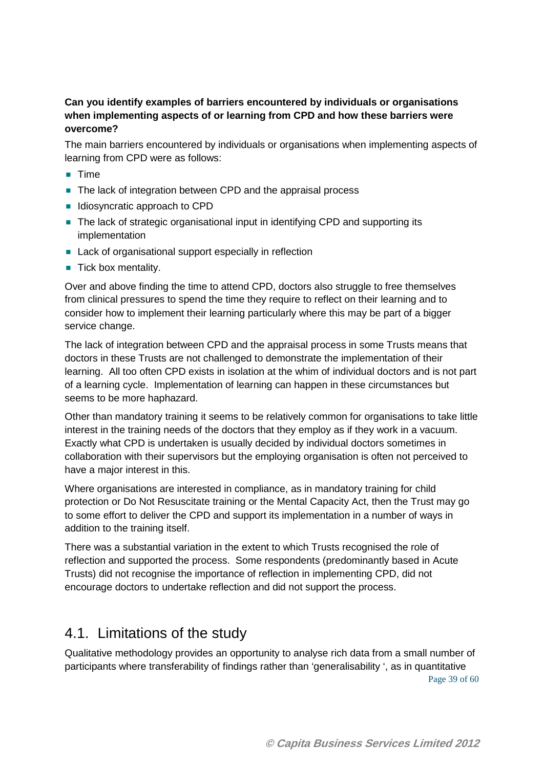### **Can you identify examples of barriers encountered by individuals or organisations when implementing aspects of or learning from CPD and how these barriers were overcome?**

The main barriers encountered by individuals or organisations when implementing aspects of learning from CPD were as follows:

- $\blacksquare$  Time
- The lack of integration between CPD and the appraisal process
- Idiosyncratic approach to CPD
- The lack of strategic organisational input in identifying CPD and supporting its implementation
- Lack of organisational support especially in reflection
- $\blacksquare$  Tick box mentality.

Over and above finding the time to attend CPD, doctors also struggle to free themselves from clinical pressures to spend the time they require to reflect on their learning and to consider how to implement their learning particularly where this may be part of a bigger service change.

The lack of integration between CPD and the appraisal process in some Trusts means that doctors in these Trusts are not challenged to demonstrate the implementation of their learning. All too often CPD exists in isolation at the whim of individual doctors and is not part of a learning cycle. Implementation of learning can happen in these circumstances but seems to be more haphazard.

Other than mandatory training it seems to be relatively common for organisations to take little interest in the training needs of the doctors that they employ as if they work in a vacuum. Exactly what CPD is undertaken is usually decided by individual doctors sometimes in collaboration with their supervisors but the employing organisation is often not perceived to have a major interest in this.

Where organisations are interested in compliance, as in mandatory training for child protection or Do Not Resuscitate training or the Mental Capacity Act, then the Trust may go to some effort to deliver the CPD and support its implementation in a number of ways in addition to the training itself.

There was a substantial variation in the extent to which Trusts recognised the role of reflection and supported the process. Some respondents (predominantly based in Acute Trusts) did not recognise the importance of reflection in implementing CPD, did not encourage doctors to undertake reflection and did not support the process.

### <span id="page-40-0"></span>4.1. Limitations of the study

Page 39 of 60 Qualitative methodology provides an opportunity to analyse rich data from a small number of participants where transferability of findings rather than 'generalisability ', as in quantitative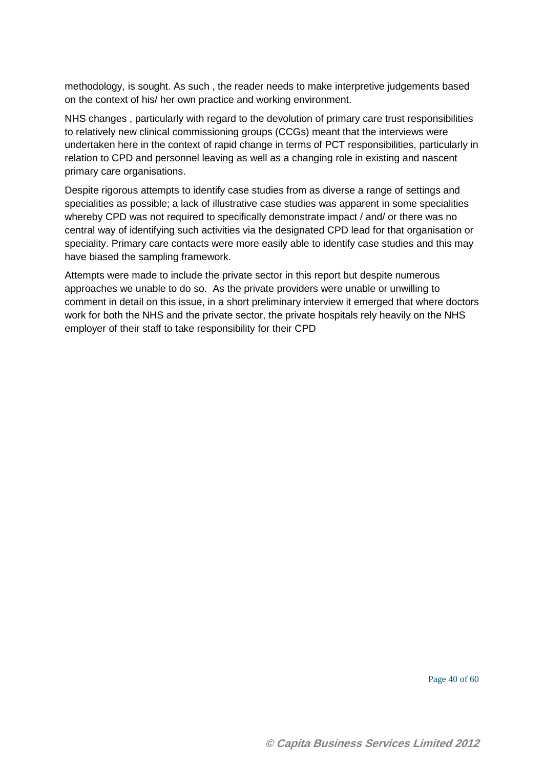methodology, is sought. As such , the reader needs to make interpretive judgements based on the context of his/ her own practice and working environment.

NHS changes , particularly with regard to the devolution of primary care trust responsibilities to relatively new clinical commissioning groups (CCGs) meant that the interviews were undertaken here in the context of rapid change in terms of PCT responsibilities, particularly in relation to CPD and personnel leaving as well as a changing role in existing and nascent primary care organisations.

Despite rigorous attempts to identify case studies from as diverse a range of settings and specialities as possible; a lack of illustrative case studies was apparent in some specialities whereby CPD was not required to specifically demonstrate impact / and/ or there was no central way of identifying such activities via the designated CPD lead for that organisation or speciality. Primary care contacts were more easily able to identify case studies and this may have biased the sampling framework.

Attempts were made to include the private sector in this report but despite numerous approaches we unable to do so. As the private providers were unable or unwilling to comment in detail on this issue, in a short preliminary interview it emerged that where doctors work for both the NHS and the private sector, the private hospitals rely heavily on the NHS employer of their staff to take responsibility for their CPD

Page 40 of 60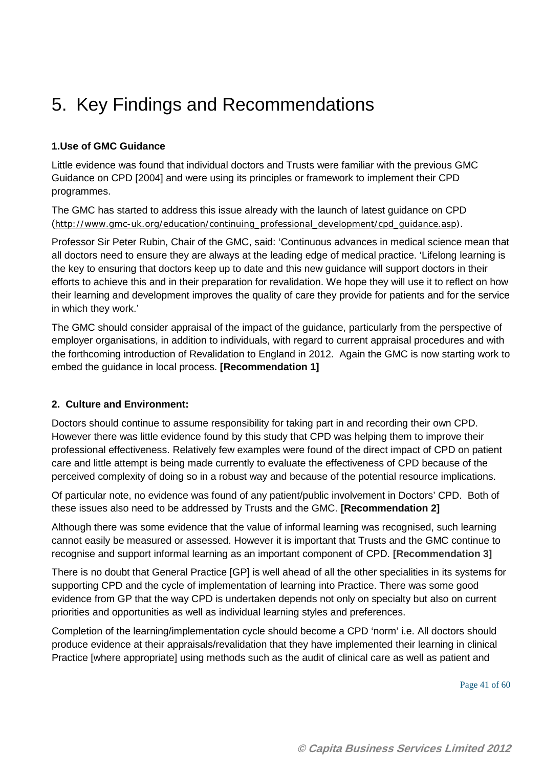# <span id="page-42-0"></span>5. Key Findings and Recommendations

### **1.Use of GMC Guidance**

Little evidence was found that individual doctors and Trusts were familiar with the previous GMC Guidance on CPD [2004] and were using its principles or framework to implement their CPD programmes.

The GMC has started to address this issue already with the launch of latest guidance on CPD ([http://www.gmc-uk.org/education/continuing\\_professional\\_development/cpd\\_guidance.asp\)](http://www.gmc-uk.org/education/continuing_professional_development/cpd_guidance.asp).

Professor Sir Peter Rubin, Chair of the GMC, said: 'Continuous advances in medical science mean that all doctors need to ensure they are always at the leading edge of medical practice. 'Lifelong learning is the key to ensuring that doctors keep up to date and this new guidance will support doctors in their efforts to achieve this and in their preparation for revalidation. We hope they will use it to reflect on how their learning and development improves the quality of care they provide for patients and for the service in which they work.'

The GMC should consider appraisal of the impact of the guidance, particularly from the perspective of employer organisations, in addition to individuals, with regard to current appraisal procedures and with the forthcoming introduction of Revalidation to England in 2012. Again the GMC is now starting work to embed the guidance in local process. **[Recommendation 1]**

### **2. Culture and Environment:**

Doctors should continue to assume responsibility for taking part in and recording their own CPD. However there was little evidence found by this study that CPD was helping them to improve their professional effectiveness. Relatively few examples were found of the direct impact of CPD on patient care and little attempt is being made currently to evaluate the effectiveness of CPD because of the perceived complexity of doing so in a robust way and because of the potential resource implications.

Of particular note, no evidence was found of any patient/public involvement in Doctors' CPD. Both of these issues also need to be addressed by Trusts and the GMC. **[Recommendation 2]**

Although there was some evidence that the value of informal learning was recognised, such learning cannot easily be measured or assessed. However it is important that Trusts and the GMC continue to recognise and support informal learning as an important component of CPD. **[Recommendation 3]**

There is no doubt that General Practice [GP] is well ahead of all the other specialities in its systems for supporting CPD and the cycle of implementation of learning into Practice. There was some good evidence from GP that the way CPD is undertaken depends not only on specialty but also on current priorities and opportunities as well as individual learning styles and preferences.

Completion of the learning/implementation cycle should become a CPD 'norm' i.e. All doctors should produce evidence at their appraisals/revalidation that they have implemented their learning in clinical Practice [where appropriate] using methods such as the audit of clinical care as well as patient and

Page 41 of 60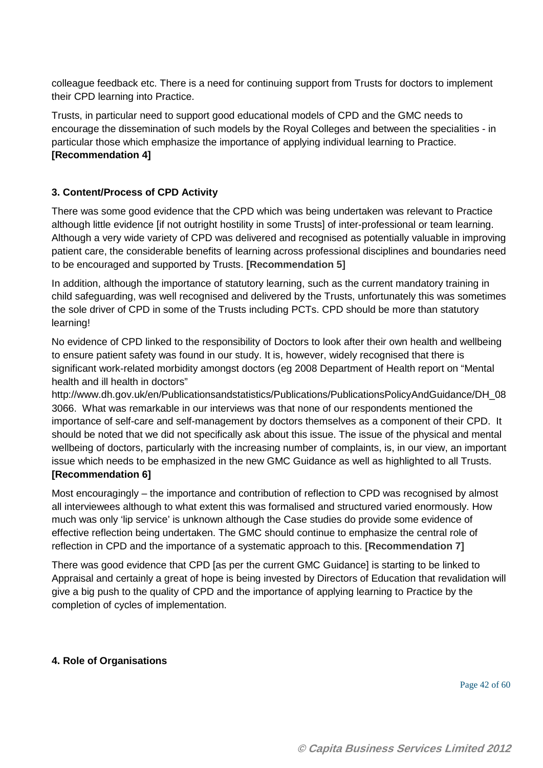colleague feedback etc. There is a need for continuing support from Trusts for doctors to implement their CPD learning into Practice.

Trusts, in particular need to support good educational models of CPD and the GMC needs to encourage the dissemination of such models by the Royal Colleges and between the specialities - in particular those which emphasize the importance of applying individual learning to Practice. **[Recommendation 4]**

### **3. Content/Process of CPD Activity**

There was some good evidence that the CPD which was being undertaken was relevant to Practice although little evidence [if not outright hostility in some Trusts] of inter-professional or team learning. Although a very wide variety of CPD was delivered and recognised as potentially valuable in improving patient care, the considerable benefits of learning across professional disciplines and boundaries need to be encouraged and supported by Trusts. **[Recommendation 5]**

In addition, although the importance of statutory learning, such as the current mandatory training in child safeguarding, was well recognised and delivered by the Trusts, unfortunately this was sometimes the sole driver of CPD in some of the Trusts including PCTs. CPD should be more than statutory learning!

No evidence of CPD linked to the responsibility of Doctors to look after their own health and wellbeing to ensure patient safety was found in our study. It is, however, widely recognised that there is significant work-related morbidity amongst doctors (eg 2008 Department of Health report on "Mental health and ill health in doctors"

http://www.dh.gov.uk/en/Publicationsandstatistics/Publications/PublicationsPolicyAndGuidance/DH\_08 3066. What was remarkable in our interviews was that none of our respondents mentioned the importance of self-care and self-management by doctors themselves as a component of their CPD. It should be noted that we did not specifically ask about this issue. The issue of the physical and mental wellbeing of doctors, particularly with the increasing number of complaints, is, in our view, an important issue which needs to be emphasized in the new GMC Guidance as well as highlighted to all Trusts.

### **[Recommendation 6]**

Most encouragingly – the importance and contribution of reflection to CPD was recognised by almost all interviewees although to what extent this was formalised and structured varied enormously. How much was only 'lip service' is unknown although the Case studies do provide some evidence of effective reflection being undertaken. The GMC should continue to emphasize the central role of reflection in CPD and the importance of a systematic approach to this. **[Recommendation 7]**

There was good evidence that CPD [as per the current GMC Guidance] is starting to be linked to Appraisal and certainly a great of hope is being invested by Directors of Education that revalidation will give a big push to the quality of CPD and the importance of applying learning to Practice by the completion of cycles of implementation.

### **4. Role of Organisations**

Page 42 of 60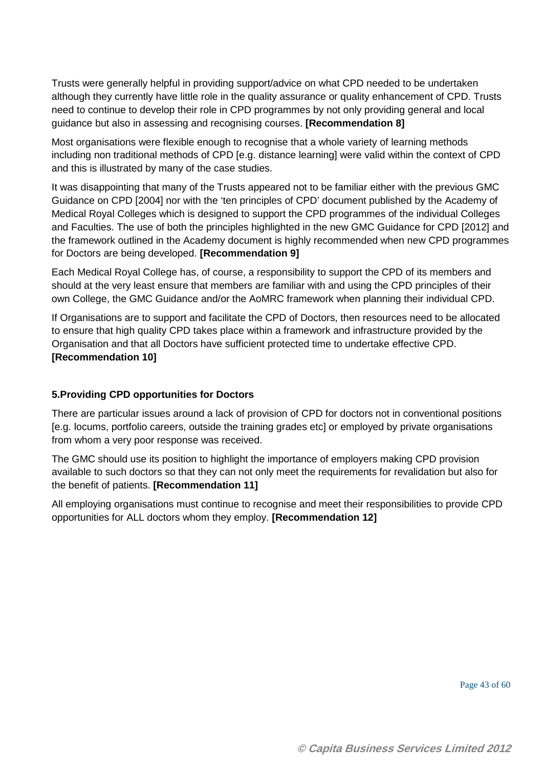Trusts were generally helpful in providing support/advice on what CPD needed to be undertaken although they currently have little role in the quality assurance or quality enhancement of CPD. Trusts need to continue to develop their role in CPD programmes by not only providing general and local guidance but also in assessing and recognising courses. **[Recommendation 8]**

Most organisations were flexible enough to recognise that a whole variety of learning methods including non traditional methods of CPD [e.g. distance learning] were valid within the context of CPD and this is illustrated by many of the case studies.

It was disappointing that many of the Trusts appeared not to be familiar either with the previous GMC Guidance on CPD [2004] nor with the 'ten principles of CPD' document published by the Academy of Medical Royal Colleges which is designed to support the CPD programmes of the individual Colleges and Faculties. The use of both the principles highlighted in the new GMC Guidance for CPD [2012] and the framework outlined in the Academy document is highly recommended when new CPD programmes for Doctors are being developed. **[Recommendation 9]**

Each Medical Royal College has, of course, a responsibility to support the CPD of its members and should at the very least ensure that members are familiar with and using the CPD principles of their own College, the GMC Guidance and/or the AoMRC framework when planning their individual CPD.

If Organisations are to support and facilitate the CPD of Doctors, then resources need to be allocated to ensure that high quality CPD takes place within a framework and infrastructure provided by the Organisation and that all Doctors have sufficient protected time to undertake effective CPD. **[Recommendation 10]**

### **5.Providing CPD opportunities for Doctors**

There are particular issues around a lack of provision of CPD for doctors not in conventional positions [e.g. locums, portfolio careers, outside the training grades etc] or employed by private organisations from whom a very poor response was received.

The GMC should use its position to highlight the importance of employers making CPD provision available to such doctors so that they can not only meet the requirements for revalidation but also for the benefit of patients. **[Recommendation 11]**

All employing organisations must continue to recognise and meet their responsibilities to provide CPD opportunities for ALL doctors whom they employ. **[Recommendation 12]**

Page 43 of 60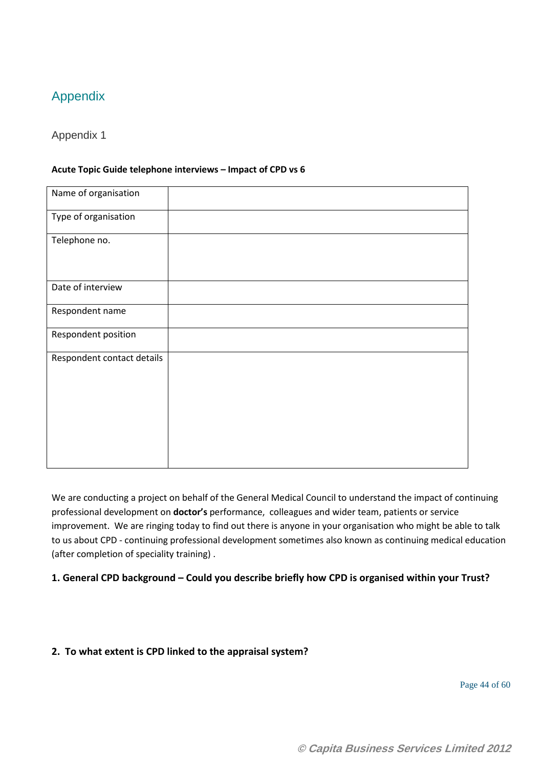### <span id="page-45-0"></span>Appendix

### Appendix 1

#### **Acute Topic Guide telephone interviews – Impact of CPD vs 6**

| Name of organisation       |  |
|----------------------------|--|
| Type of organisation       |  |
| Telephone no.              |  |
| Date of interview          |  |
| Respondent name            |  |
| Respondent position        |  |
| Respondent contact details |  |

We are conducting a project on behalf of the General Medical Council to understand the impact of continuing professional development on **doctor's** performance, colleagues and wider team, patients or service improvement. We are ringing today to find out there is anyone in your organisation who might be able to talk to us about CPD - continuing professional development sometimes also known as continuing medical education (after completion of speciality training) .

### **1. General CPD background – Could you describe briefly how CPD is organised within your Trust?**

### **2. To what extent is CPD linked to the appraisal system?**

Page 44 of 60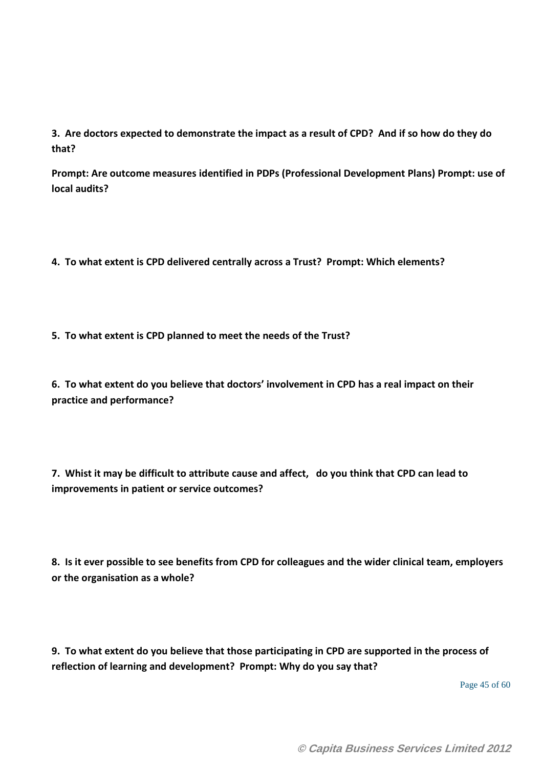**3. Are doctors expected to demonstrate the impact as a result of CPD? And if so how do they do that?** 

**Prompt: Are outcome measures identified in PDPs (Professional Development Plans) Prompt: use of local audits?**

- **4. To what extent is CPD delivered centrally across a Trust? Prompt: Which elements?**
- **5. To what extent is CPD planned to meet the needs of the Trust?**

**6. To what extent do you believe that doctors' involvement in CPD has a real impact on their practice and performance?**

**7. Whist it may be difficult to attribute cause and affect, do you think that CPD can lead to improvements in patient or service outcomes?**

**8. Is it ever possible to see benefits from CPD for colleagues and the wider clinical team, employers or the organisation as a whole?**

**9. To what extent do you believe that those participating in CPD are supported in the process of reflection of learning and development? Prompt: Why do you say that?**

Page 45 of 60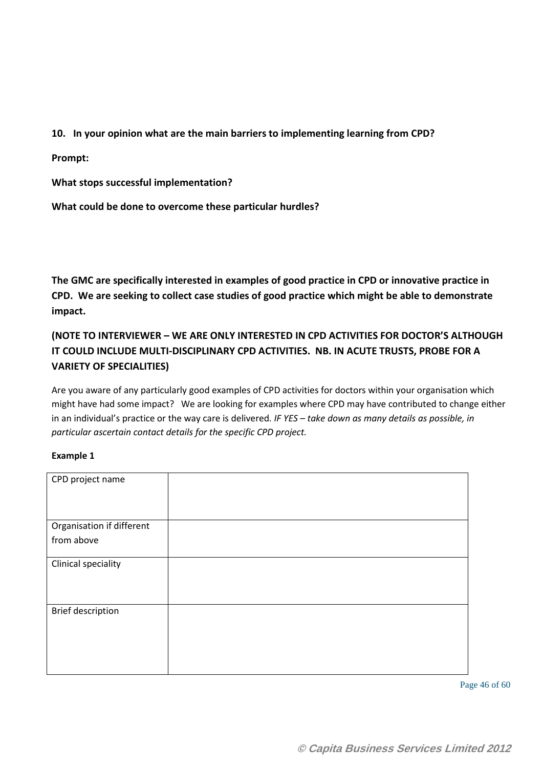**10. In your opinion what are the main barriers to implementing learning from CPD?**

**Prompt:**

**What stops successful implementation?** 

**What could be done to overcome these particular hurdles?**

**The GMC are specifically interested in examples of good practice in CPD or innovative practice in CPD. We are seeking to collect case studies of good practice which might be able to demonstrate impact.**

### **(NOTE TO INTERVIEWER – WE ARE ONLY INTERESTED IN CPD ACTIVITIES FOR DOCTOR'S ALTHOUGH IT COULD INCLUDE MULTI-DISCIPLINARY CPD ACTIVITIES. NB. IN ACUTE TRUSTS, PROBE FOR A VARIETY OF SPECIALITIES)**

Are you aware of any particularly good examples of CPD activities for doctors within your organisation which might have had some impact? We are looking for examples where CPD may have contributed to change either in an individual's practice or the way care is delivered*. IF YES – take down as many details as possible, in particular ascertain contact details for the specific CPD project.*

### **Example 1**

| CPD project name          |  |
|---------------------------|--|
| Organisation if different |  |
| from above                |  |
| Clinical speciality       |  |
| <b>Brief description</b>  |  |

Page 46 of 60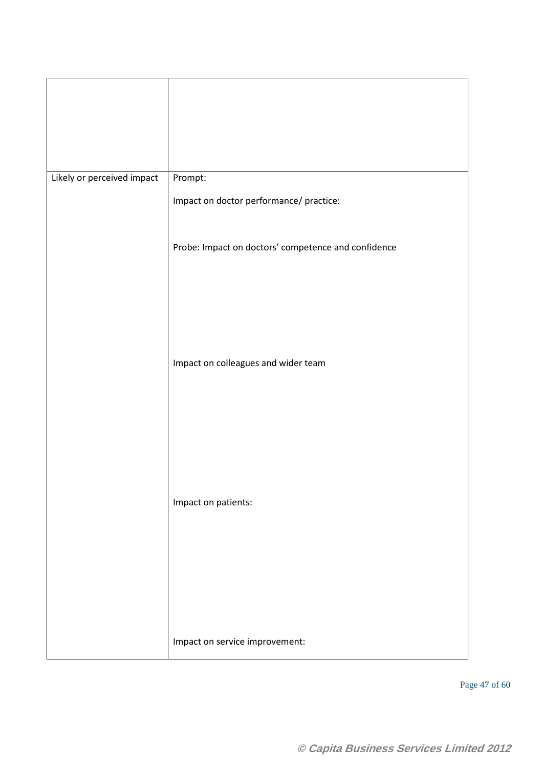| Likely or perceived impact | Prompt:                                             |
|----------------------------|-----------------------------------------------------|
|                            | Impact on doctor performance/ practice:             |
|                            | Probe: Impact on doctors' competence and confidence |
|                            |                                                     |
|                            | Impact on colleagues and wider team                 |
|                            |                                                     |
|                            | Impact on patients:                                 |
|                            |                                                     |
|                            |                                                     |
|                            | Impact on service improvement:                      |

Page 47 of 60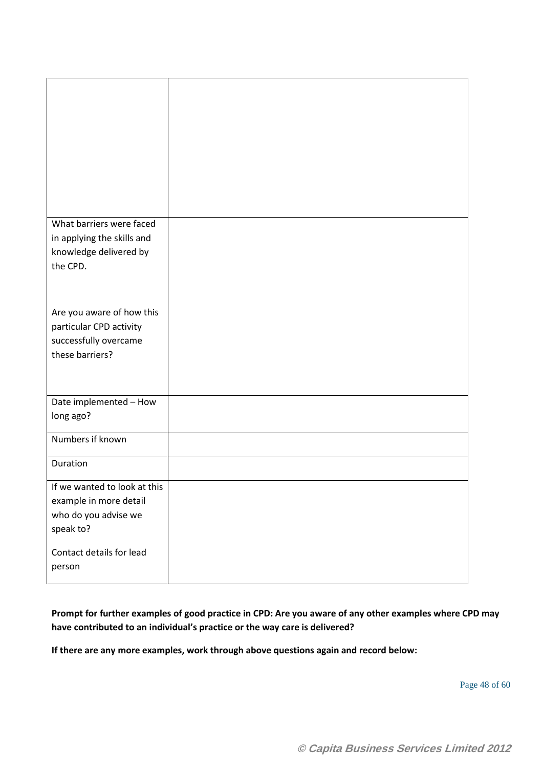| What barriers were faced<br>in applying the skills and<br>knowledge delivered by<br>the CPD.     |  |
|--------------------------------------------------------------------------------------------------|--|
| Are you aware of how this<br>particular CPD activity<br>successfully overcame<br>these barriers? |  |
| Date implemented - How<br>long ago?                                                              |  |
| Numbers if known                                                                                 |  |
| Duration                                                                                         |  |
| If we wanted to look at this<br>example in more detail<br>who do you advise we<br>speak to?      |  |
| Contact details for lead<br>person                                                               |  |

### **Prompt for further examples of good practice in CPD: Are you aware of any other examples where CPD may have contributed to an individual's practice or the way care is delivered?**

**If there are any more examples, work through above questions again and record below:**

Page 48 of 60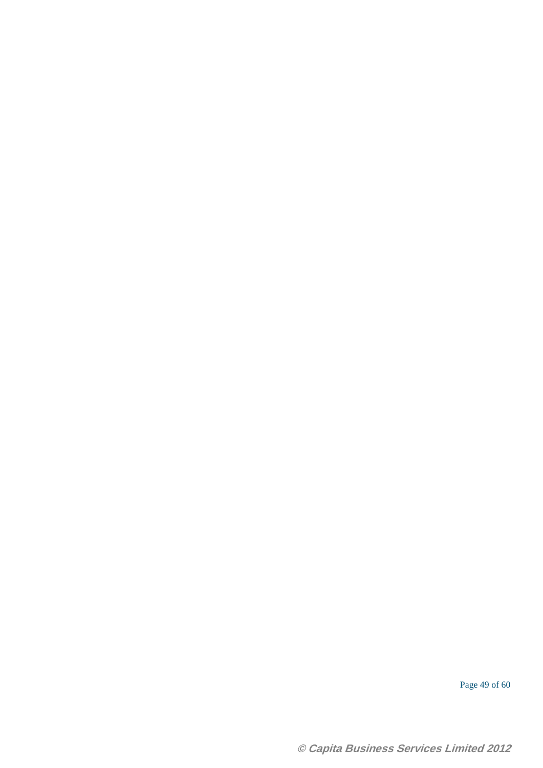Page 49 of 60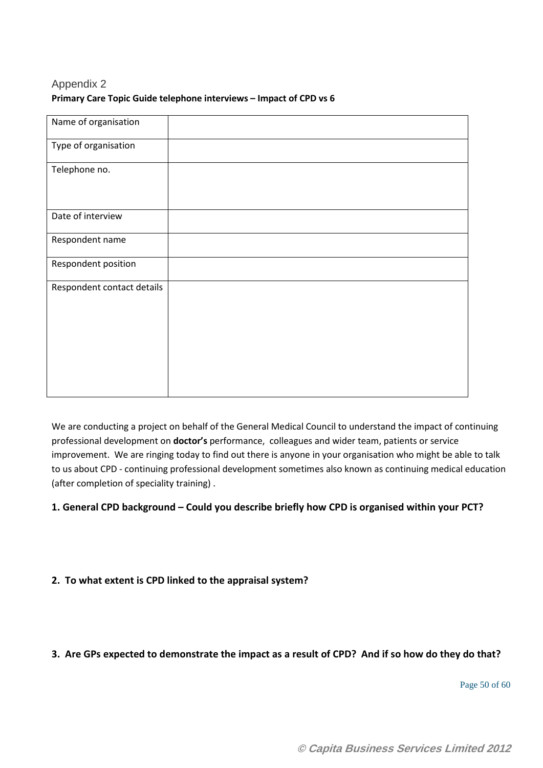### Appendix 2 **Primary Care Topic Guide telephone interviews – Impact of CPD vs 6**

| Name of organisation       |  |
|----------------------------|--|
| Type of organisation       |  |
| Telephone no.              |  |
| Date of interview          |  |
| Respondent name            |  |
| Respondent position        |  |
| Respondent contact details |  |

We are conducting a project on behalf of the General Medical Council to understand the impact of continuing professional development on **doctor's** performance, colleagues and wider team, patients or service improvement. We are ringing today to find out there is anyone in your organisation who might be able to talk to us about CPD - continuing professional development sometimes also known as continuing medical education (after completion of speciality training) .

### **1. General CPD background – Could you describe briefly how CPD is organised within your PCT?**

### **2. To what extent is CPD linked to the appraisal system?**

### **3. Are GPs expected to demonstrate the impact as a result of CPD? And if so how do they do that?**

Page 50 of 60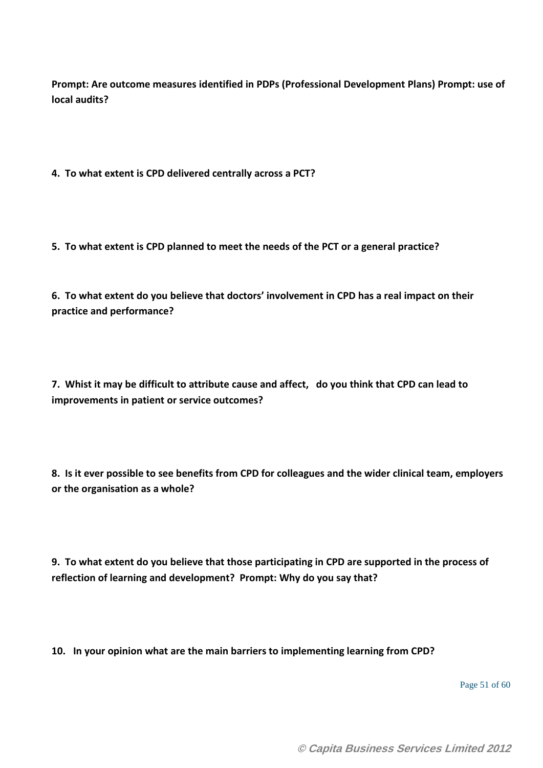**Prompt: Are outcome measures identified in PDPs (Professional Development Plans) Prompt: use of local audits?**

**4. To what extent is CPD delivered centrally across a PCT?**

**5. To what extent is CPD planned to meet the needs of the PCT or a general practice?**

**6. To what extent do you believe that doctors' involvement in CPD has a real impact on their practice and performance?**

**7. Whist it may be difficult to attribute cause and affect, do you think that CPD can lead to improvements in patient or service outcomes?**

**8. Is it ever possible to see benefits from CPD for colleagues and the wider clinical team, employers or the organisation as a whole?**

**9. To what extent do you believe that those participating in CPD are supported in the process of reflection of learning and development? Prompt: Why do you say that?**

**10. In your opinion what are the main barriers to implementing learning from CPD?**

Page 51 of 60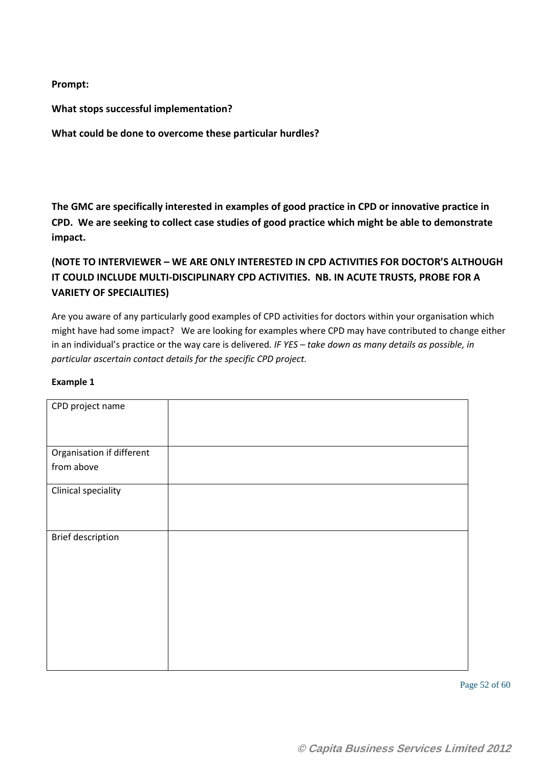**Prompt:**

**What stops successful implementation?** 

**What could be done to overcome these particular hurdles?**

**The GMC are specifically interested in examples of good practice in CPD or innovative practice in CPD. We are seeking to collect case studies of good practice which might be able to demonstrate impact.**

### **(NOTE TO INTERVIEWER – WE ARE ONLY INTERESTED IN CPD ACTIVITIES FOR DOCTOR'S ALTHOUGH IT COULD INCLUDE MULTI-DISCIPLINARY CPD ACTIVITIES. NB. IN ACUTE TRUSTS, PROBE FOR A VARIETY OF SPECIALITIES)**

Are you aware of any particularly good examples of CPD activities for doctors within your organisation which might have had some impact? We are looking for examples where CPD may have contributed to change either in an individual's practice or the way care is delivered*. IF YES – take down as many details as possible, in particular ascertain contact details for the specific CPD project.*

### **Example 1**

| CPD project name          |  |
|---------------------------|--|
|                           |  |
|                           |  |
|                           |  |
|                           |  |
| Organisation if different |  |
| from above                |  |
|                           |  |
| Clinical speciality       |  |
|                           |  |
|                           |  |
|                           |  |
|                           |  |
|                           |  |
| <b>Brief description</b>  |  |
|                           |  |
|                           |  |
|                           |  |
|                           |  |
|                           |  |
|                           |  |
|                           |  |
|                           |  |
|                           |  |
|                           |  |
|                           |  |
|                           |  |
|                           |  |
|                           |  |

Page 52 of 60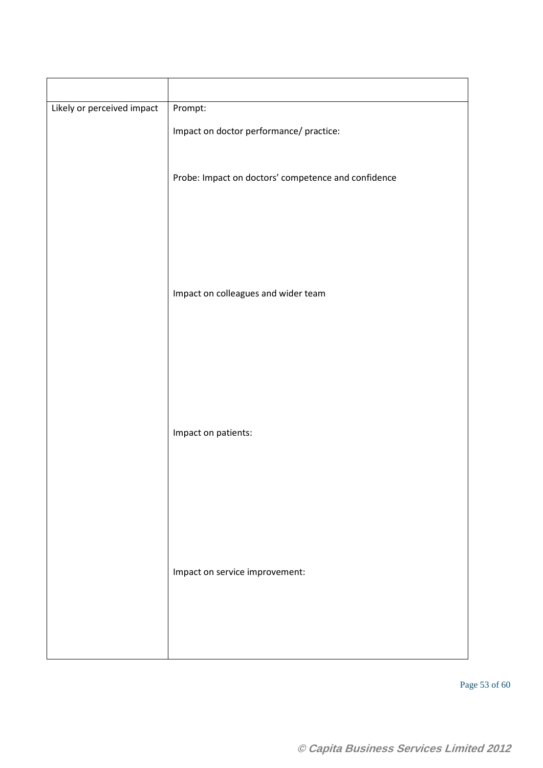| Likely or perceived impact | Prompt:                                             |
|----------------------------|-----------------------------------------------------|
|                            | Impact on doctor performance/ practice:             |
|                            | Probe: Impact on doctors' competence and confidence |
|                            | Impact on colleagues and wider team                 |
|                            | Impact on patients:                                 |
|                            | Impact on service improvement:                      |

Page 53 of 60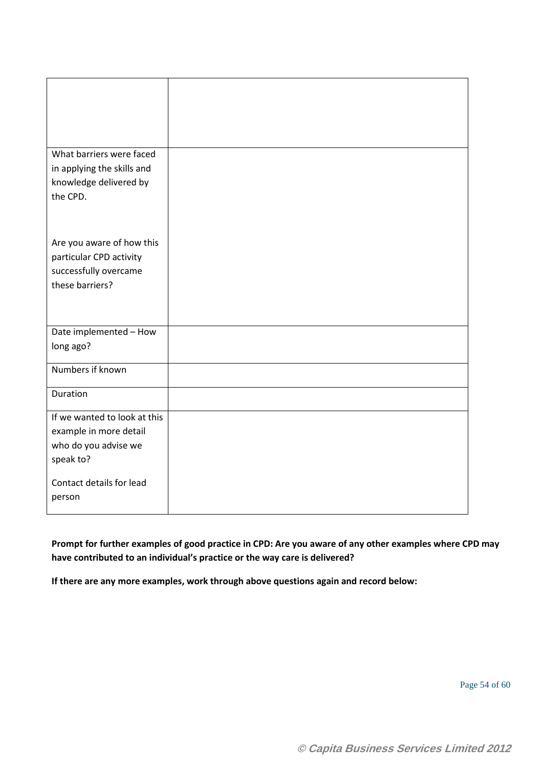| What barriers were faced     |  |
|------------------------------|--|
|                              |  |
| in applying the skills and   |  |
| knowledge delivered by       |  |
| the CPD.                     |  |
|                              |  |
|                              |  |
|                              |  |
| Are you aware of how this    |  |
| particular CPD activity      |  |
| successfully overcame        |  |
| these barriers?              |  |
|                              |  |
|                              |  |
|                              |  |
| Date implemented - How       |  |
| long ago?                    |  |
|                              |  |
| Numbers if known             |  |
| Duration                     |  |
|                              |  |
| If we wanted to look at this |  |
| example in more detail       |  |
|                              |  |
| who do you advise we         |  |
| speak to?                    |  |
| Contact details for lead     |  |
|                              |  |
| person                       |  |
|                              |  |

**Prompt for further examples of good practice in CPD: Are you aware of any other examples where CPD may have contributed to an individual's practice or the way care is delivered?**

**If there are any more examples, work through above questions again and record below:**

Page 54 of 60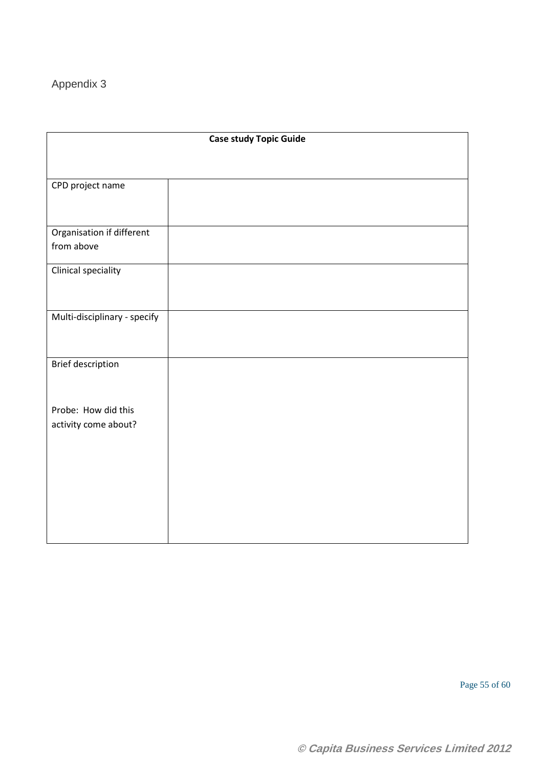Appendix 3

| <b>Case study Topic Guide</b> |  |
|-------------------------------|--|
|                               |  |
| CPD project name              |  |
|                               |  |
| Organisation if different     |  |
| from above                    |  |
| Clinical speciality           |  |
|                               |  |
| Multi-disciplinary - specify  |  |
|                               |  |
|                               |  |
| <b>Brief description</b>      |  |
|                               |  |
| Probe: How did this           |  |
| activity come about?          |  |
|                               |  |
|                               |  |
|                               |  |
|                               |  |
|                               |  |

Page 55 of 60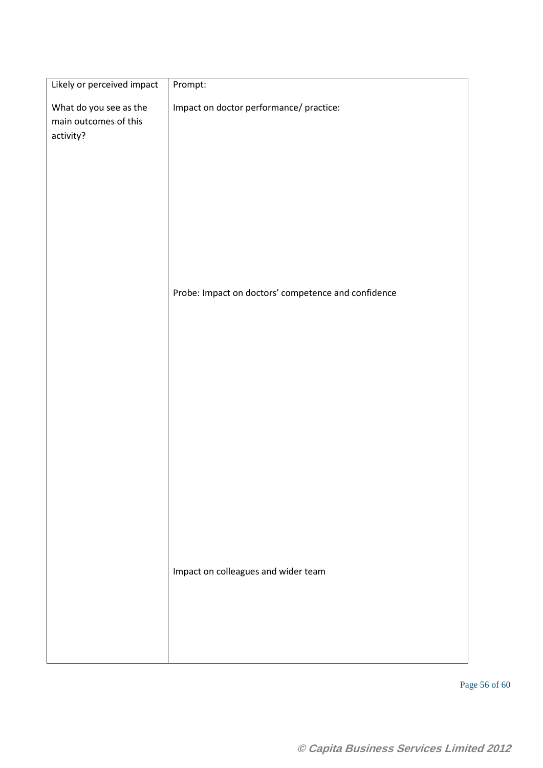| Likely or perceived impact                                   | Prompt:                                             |
|--------------------------------------------------------------|-----------------------------------------------------|
| What do you see as the<br>main outcomes of this<br>activity? | Impact on doctor performance/ practice:             |
|                                                              | Probe: Impact on doctors' competence and confidence |
|                                                              | Impact on colleagues and wider team                 |

Page 56 of 60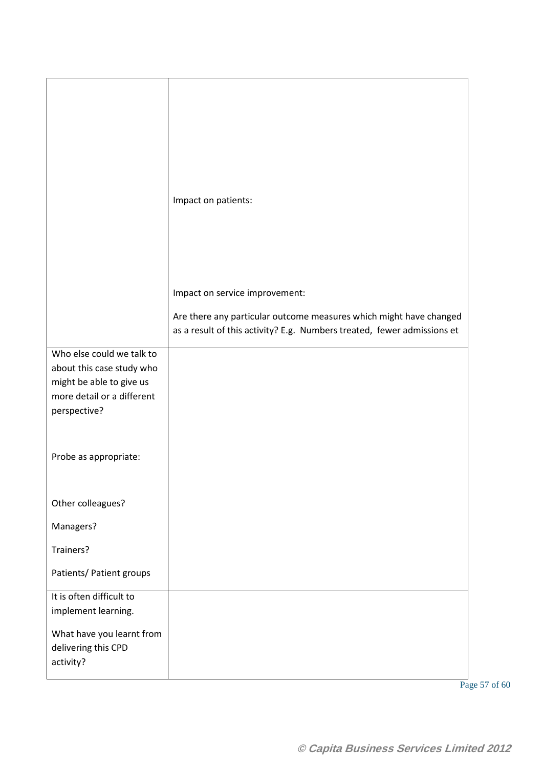|                                                                                                                                  | Impact on patients:                                                                                                                           |
|----------------------------------------------------------------------------------------------------------------------------------|-----------------------------------------------------------------------------------------------------------------------------------------------|
|                                                                                                                                  |                                                                                                                                               |
|                                                                                                                                  | Impact on service improvement:                                                                                                                |
|                                                                                                                                  | Are there any particular outcome measures which might have changed<br>as a result of this activity? E.g. Numbers treated, fewer admissions et |
| Who else could we talk to<br>about this case study who<br>might be able to give us<br>more detail or a different<br>perspective? |                                                                                                                                               |
| Probe as appropriate:                                                                                                            |                                                                                                                                               |
| Other colleagues?                                                                                                                |                                                                                                                                               |
| Managers?                                                                                                                        |                                                                                                                                               |
| Trainers?                                                                                                                        |                                                                                                                                               |
| Patients/ Patient groups                                                                                                         |                                                                                                                                               |
| It is often difficult to                                                                                                         |                                                                                                                                               |
| implement learning.                                                                                                              |                                                                                                                                               |
| What have you learnt from<br>delivering this CPD<br>activity?                                                                    |                                                                                                                                               |

Page 57 of 60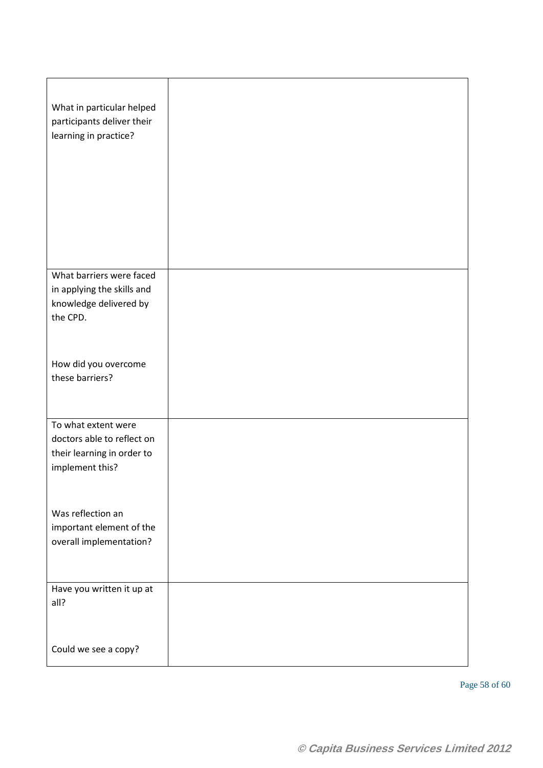| What in particular helped<br>participants deliver their<br>learning in practice?             |  |
|----------------------------------------------------------------------------------------------|--|
|                                                                                              |  |
| What barriers were faced<br>in applying the skills and<br>knowledge delivered by<br>the CPD. |  |
| How did you overcome<br>these barriers?                                                      |  |
| To what extent were                                                                          |  |
|                                                                                              |  |
| doctors able to reflect on                                                                   |  |
| their learning in order to                                                                   |  |
| implement this?                                                                              |  |
|                                                                                              |  |
|                                                                                              |  |
| Was reflection an                                                                            |  |
| important element of the                                                                     |  |
| overall implementation?                                                                      |  |
|                                                                                              |  |
|                                                                                              |  |
| Have you written it up at                                                                    |  |
| all?                                                                                         |  |
|                                                                                              |  |
|                                                                                              |  |
|                                                                                              |  |
| Could we see a copy?                                                                         |  |
|                                                                                              |  |

Page 58 of 60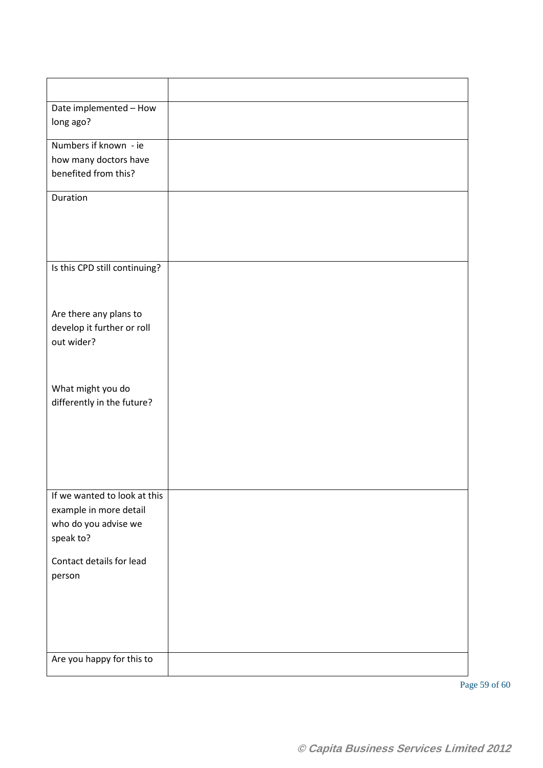| Date implemented - How        |  |
|-------------------------------|--|
| long ago?                     |  |
|                               |  |
| Numbers if known - ie         |  |
| how many doctors have         |  |
| benefited from this?          |  |
|                               |  |
| Duration                      |  |
|                               |  |
|                               |  |
|                               |  |
|                               |  |
| Is this CPD still continuing? |  |
|                               |  |
|                               |  |
|                               |  |
| Are there any plans to        |  |
| develop it further or roll    |  |
| out wider?                    |  |
|                               |  |
|                               |  |
|                               |  |
| What might you do             |  |
| differently in the future?    |  |
|                               |  |
|                               |  |
|                               |  |
|                               |  |
|                               |  |
|                               |  |
| If we wanted to look at this  |  |
| example in more detail        |  |
| who do you advise we          |  |
| speak to?                     |  |
|                               |  |
| Contact details for lead      |  |
| person                        |  |
|                               |  |
|                               |  |
|                               |  |
|                               |  |
|                               |  |
| Are you happy for this to     |  |
|                               |  |

Page 59 of 60